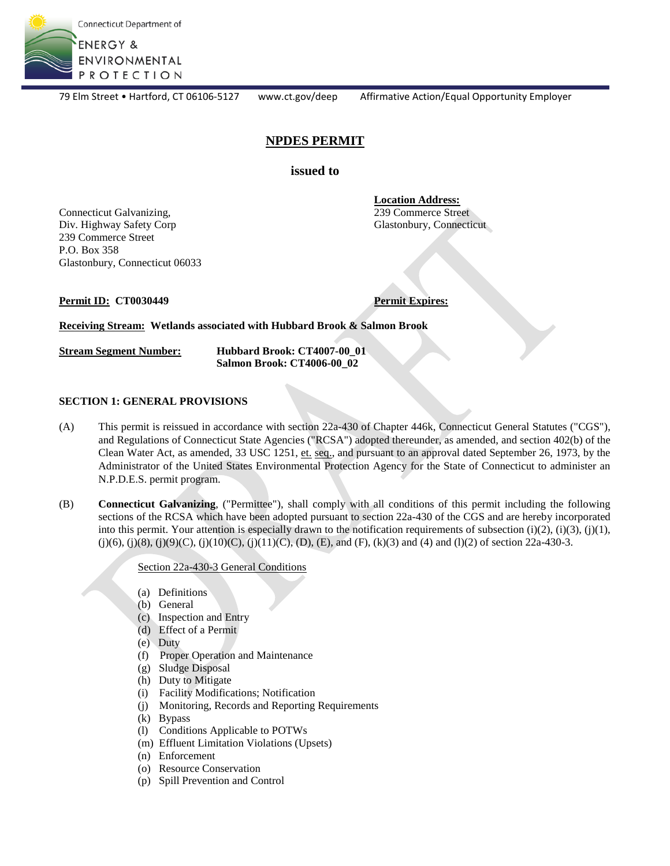

79 Elm Street • Hartford, CT 06106-5127 www.ct.gov/deep Affirmative Action/Equal Opportunity Employer

# **NPDES PERMIT**

**issued to**

**Location Address:**

239 Commerce Street Glastonbury, Connecticut

Connecticut Galvanizing, Div. Highway Safety Corp 239 Commerce Street P.O. Box 358 Glastonbury, Connecticut 06033

**Permit ID:** CT0030449 **Permit Expires:** 

**Receiving Stream: Wetlands associated with Hubbard Brook & Salmon Brook**

**Stream Segment Number: Hubbard Brook: CT4007-00\_01 Salmon Brook: CT4006-00\_02**

#### **SECTION 1: GENERAL PROVISIONS**

- (A) This permit is reissued in accordance with section 22a-430 of Chapter 446k, Connecticut General Statutes ("CGS"), and Regulations of Connecticut State Agencies ("RCSA") adopted thereunder, as amended, and section 402(b) of the Clean Water Act, as amended, 33 USC 1251, et. seq., and pursuant to an approval dated September 26, 1973, by the Administrator of the United States Environmental Protection Agency for the State of Connecticut to administer an N.P.D.E.S. permit program.
- (B) **Connecticut Galvanizing**, ("Permittee"), shall comply with all conditions of this permit including the following sections of the RCSA which have been adopted pursuant to section 22a-430 of the CGS and are hereby incorporated into this permit. Your attention is especially drawn to the notification requirements of subsection  $(i)(2)$ ,  $(i)(3)$ ,  $(j)(1)$ ,  $(j(6), (j)(8), (j)(9)(C), (j)(10)(C), (j)(11)(C), (D), (E),$  and  $(F), (k)(3)$  and  $(4)$  and  $(l)(2)$  of section 22a-430-3.

Section 22a-430-3 General Conditions

- (a) Definitions
- (b) General
- (c) Inspection and Entry
- (d) Effect of a Permit
- (e) Duty
- (f) Proper Operation and Maintenance
- (g) Sludge Disposal
- (h) Duty to Mitigate
- (i) Facility Modifications; Notification
- (j) Monitoring, Records and Reporting Requirements
- (k) Bypass
- (l) Conditions Applicable to POTWs
- (m) Effluent Limitation Violations (Upsets)
- (n) Enforcement
- (o) Resource Conservation
- (p) Spill Prevention and Control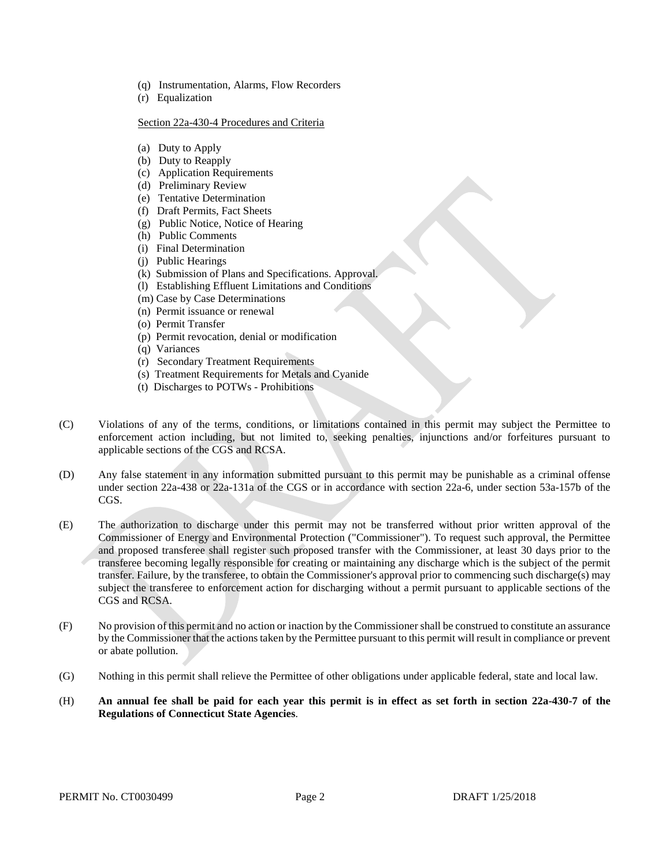- (q) Instrumentation, Alarms, Flow Recorders
- (r) Equalization

#### Section 22a-430-4 Procedures and Criteria

- (a) Duty to Apply
- (b) Duty to Reapply
- (c) Application Requirements
- (d) Preliminary Review
- (e) Tentative Determination
- (f) Draft Permits, Fact Sheets
- (g) Public Notice, Notice of Hearing
- (h) Public Comments
- (i) Final Determination
- (j) Public Hearings
- (k) Submission of Plans and Specifications. Approval.
- (l) Establishing Effluent Limitations and Conditions
- (m) Case by Case Determinations
- (n) Permit issuance or renewal
- (o) Permit Transfer
- (p) Permit revocation, denial or modification
- (q) Variances
- (r) Secondary Treatment Requirements
- (s) Treatment Requirements for Metals and Cyanide
- (t) Discharges to POTWs Prohibitions
- (C) Violations of any of the terms, conditions, or limitations contained in this permit may subject the Permittee to enforcement action including, but not limited to, seeking penalties, injunctions and/or forfeitures pursuant to applicable sections of the CGS and RCSA.
- (D) Any false statement in any information submitted pursuant to this permit may be punishable as a criminal offense under section 22a-438 or 22a-131a of the CGS or in accordance with section 22a-6, under section 53a-157b of the CGS.
- (E) The authorization to discharge under this permit may not be transferred without prior written approval of the Commissioner of Energy and Environmental Protection ("Commissioner"). To request such approval, the Permittee and proposed transferee shall register such proposed transfer with the Commissioner, at least 30 days prior to the transferee becoming legally responsible for creating or maintaining any discharge which is the subject of the permit transfer. Failure, by the transferee, to obtain the Commissioner's approval prior to commencing such discharge(s) may subject the transferee to enforcement action for discharging without a permit pursuant to applicable sections of the CGS and RCSA.
- (F) No provision of this permit and no action or inaction by the Commissioner shall be construed to constitute an assurance by the Commissioner that the actions taken by the Permittee pursuant to this permit will result in compliance or prevent or abate pollution.
- (G) Nothing in this permit shall relieve the Permittee of other obligations under applicable federal, state and local law.
- (H) **An annual fee shall be paid for each year this permit is in effect as set forth in section 22a-430-7 of the Regulations of Connecticut State Agencies**.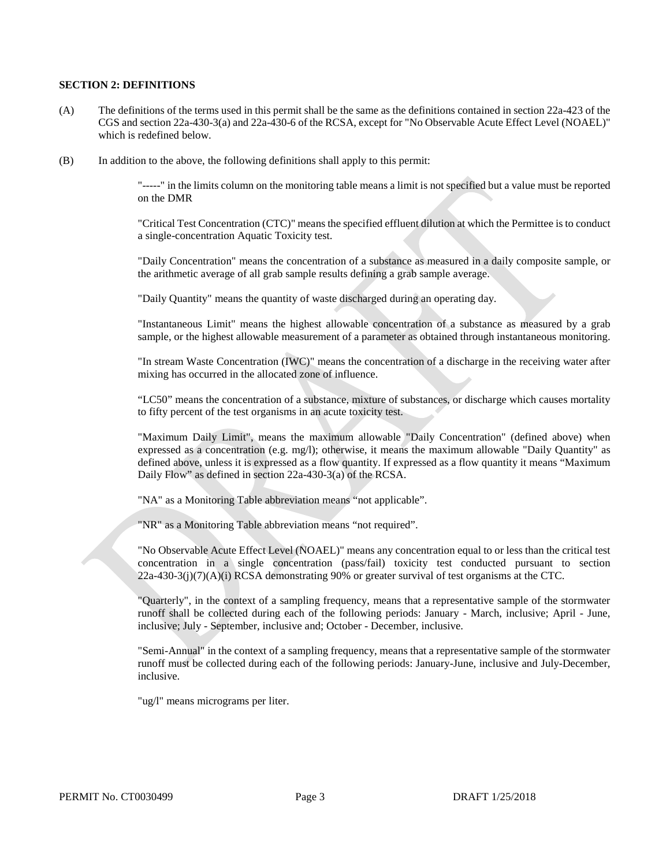#### **SECTION 2: DEFINITIONS**

- (A) The definitions of the terms used in this permit shall be the same as the definitions contained in section 22a-423 of the CGS and section 22a-430-3(a) and 22a-430-6 of the RCSA, except for "No Observable Acute Effect Level (NOAEL)" which is redefined below.
- (B) In addition to the above, the following definitions shall apply to this permit:

"-----" in the limits column on the monitoring table means a limit is not specified but a value must be reported on the DMR

"Critical Test Concentration (CTC)" means the specified effluent dilution at which the Permittee is to conduct a single-concentration Aquatic Toxicity test.

"Daily Concentration" means the concentration of a substance as measured in a daily composite sample, or the arithmetic average of all grab sample results defining a grab sample average.

"Daily Quantity" means the quantity of waste discharged during an operating day.

"Instantaneous Limit" means the highest allowable concentration of a substance as measured by a grab sample, or the highest allowable measurement of a parameter as obtained through instantaneous monitoring.

"In stream Waste Concentration (IWC)" means the concentration of a discharge in the receiving water after mixing has occurred in the allocated zone of influence.

"LC50" means the concentration of a substance, mixture of substances, or discharge which causes mortality to fifty percent of the test organisms in an acute toxicity test.

"Maximum Daily Limit", means the maximum allowable "Daily Concentration" (defined above) when expressed as a concentration (e.g. mg/l); otherwise, it means the maximum allowable "Daily Quantity" as defined above, unless it is expressed as a flow quantity. If expressed as a flow quantity it means "Maximum Daily Flow" as defined in section 22a-430-3(a) of the RCSA.

"NA" as a Monitoring Table abbreviation means "not applicable".

"NR" as a Monitoring Table abbreviation means "not required".

"No Observable Acute Effect Level (NOAEL)" means any concentration equal to or less than the critical test concentration in a single concentration (pass/fail) toxicity test conducted pursuant to section  $22a-430-3(j)(7)(A)(i)$  RCSA demonstrating 90% or greater survival of test organisms at the CTC.

"Quarterly", in the context of a sampling frequency, means that a representative sample of the stormwater runoff shall be collected during each of the following periods: January - March, inclusive; April - June, inclusive; July - September, inclusive and; October - December, inclusive.

"Semi-Annual" in the context of a sampling frequency, means that a representative sample of the stormwater runoff must be collected during each of the following periods: January-June, inclusive and July-December, inclusive.

"ug/l" means micrograms per liter.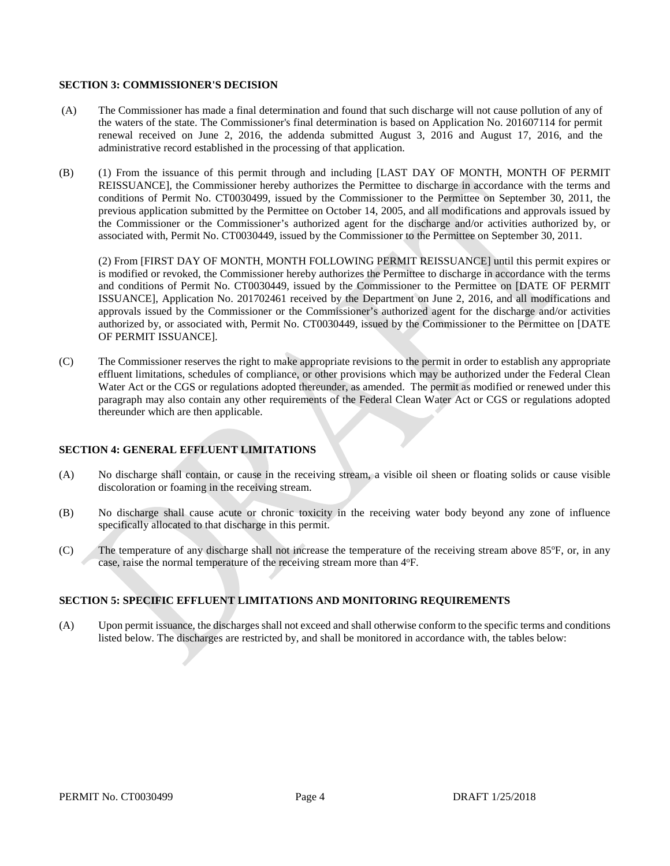#### **SECTION 3: COMMISSIONER'S DECISION**

- (A) The Commissioner has made a final determination and found that such discharge will not cause pollution of any of the waters of the state. The Commissioner's final determination is based on Application No. 201607114 for permit renewal received on June 2, 2016, the addenda submitted August 3, 2016 and August 17, 2016, and the administrative record established in the processing of that application.
- (B) (1) From the issuance of this permit through and including [LAST DAY OF MONTH, MONTH OF PERMIT REISSUANCE], the Commissioner hereby authorizes the Permittee to discharge in accordance with the terms and conditions of Permit No. CT0030499, issued by the Commissioner to the Permittee on September 30, 2011, the previous application submitted by the Permittee on October 14, 2005, and all modifications and approvals issued by the Commissioner or the Commissioner's authorized agent for the discharge and/or activities authorized by, or associated with, Permit No. CT0030449, issued by the Commissioner to the Permittee on September 30, 2011.

(2) From [FIRST DAY OF MONTH, MONTH FOLLOWING PERMIT REISSUANCE] until this permit expires or is modified or revoked, the Commissioner hereby authorizes the Permittee to discharge in accordance with the terms and conditions of Permit No. CT0030449, issued by the Commissioner to the Permittee on [DATE OF PERMIT ISSUANCE], Application No. 201702461 received by the Department on June 2, 2016, and all modifications and approvals issued by the Commissioner or the Commissioner's authorized agent for the discharge and/or activities authorized by, or associated with, Permit No. CT0030449, issued by the Commissioner to the Permittee on [DATE OF PERMIT ISSUANCE].

(C) The Commissioner reserves the right to make appropriate revisions to the permit in order to establish any appropriate effluent limitations, schedules of compliance, or other provisions which may be authorized under the Federal Clean Water Act or the CGS or regulations adopted thereunder, as amended. The permit as modified or renewed under this paragraph may also contain any other requirements of the Federal Clean Water Act or CGS or regulations adopted thereunder which are then applicable.

#### **SECTION 4: GENERAL EFFLUENT LIMITATIONS**

- (A) No discharge shall contain, or cause in the receiving stream, a visible oil sheen or floating solids or cause visible discoloration or foaming in the receiving stream.
- (B) No discharge shall cause acute or chronic toxicity in the receiving water body beyond any zone of influence specifically allocated to that discharge in this permit.
- (C) The temperature of any discharge shall not increase the temperature of the receiving stream above 85°F, or, in any case, raise the normal temperature of the receiving stream more than 4°F.

## **SECTION 5: SPECIFIC EFFLUENT LIMITATIONS AND MONITORING REQUIREMENTS**

(A) Upon permit issuance, the discharges shall not exceed and shall otherwise conform to the specific terms and conditions listed below. The discharges are restricted by, and shall be monitored in accordance with, the tables below: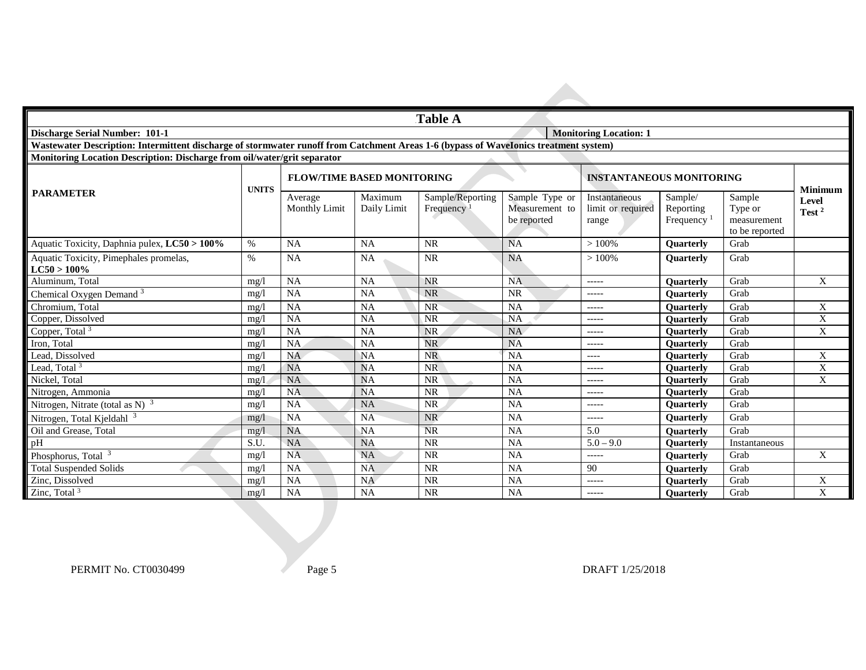|                                                                                                                                      | <b>Table A</b>                |                                   |                        |                               |                                                 |                                             |                                                |                                                    |                   |
|--------------------------------------------------------------------------------------------------------------------------------------|-------------------------------|-----------------------------------|------------------------|-------------------------------|-------------------------------------------------|---------------------------------------------|------------------------------------------------|----------------------------------------------------|-------------------|
| <b>Discharge Serial Number: 101-1</b>                                                                                                | <b>Monitoring Location: 1</b> |                                   |                        |                               |                                                 |                                             |                                                |                                                    |                   |
| Wastewater Description: Intermittent discharge of stormwater runoff from Catchment Areas 1-6 (bypass of WaveIonics treatment system) |                               |                                   |                        |                               |                                                 |                                             |                                                |                                                    |                   |
| Monitoring Location Description: Discharge from oil/water/grit separator                                                             |                               |                                   |                        |                               |                                                 |                                             |                                                |                                                    |                   |
|                                                                                                                                      | <b>UNITS</b>                  | <b>FLOW/TIME BASED MONITORING</b> |                        |                               |                                                 | <b>INSTANTANEOUS MONITORING</b>             |                                                |                                                    | <b>Minimum</b>    |
| <b>PARAMETER</b>                                                                                                                     |                               | Average<br>Monthly Limit          | Maximum<br>Daily Limit | Sample/Reporting<br>Frequency | Sample Type or<br>Measurement to<br>be reported | Instantaneous<br>limit or required<br>range | Sample/<br>Reporting<br>Frequency <sup>1</sup> | Sample<br>Type or<br>measurement<br>to be reported | Level<br>Test $2$ |
| Aquatic Toxicity, Daphnia pulex, LC50 > 100%                                                                                         | %                             | <b>NA</b>                         | <b>NA</b>              | <b>NR</b>                     | <b>NA</b>                                       | >100%                                       | <b>Ouarterly</b>                               | Grab                                               |                   |
| Aquatic Toxicity, Pimephales promelas,<br>$LC50 > 100\%$                                                                             | $\%$                          | <b>NA</b>                         | <b>NA</b>              | <b>NR</b>                     | <b>NA</b>                                       | >100%                                       | <b>Ouarterly</b>                               | Grab                                               |                   |
| Aluminum. Total                                                                                                                      | mg/l                          | NA                                | <b>NA</b>              | <b>NR</b>                     | <b>NA</b>                                       | $--- -$                                     | <b>Ouarterly</b>                               | Grab                                               | X                 |
| Chemical Oxygen Demand <sup>3</sup>                                                                                                  | mg/                           | <b>NA</b>                         | <b>NA</b>              | <b>NR</b>                     | <b>NR</b>                                       | $--- - -$                                   | <b>Ouarterly</b>                               | Grab                                               |                   |
| Chromium. Total                                                                                                                      | mg/l                          | <b>NA</b>                         | <b>NA</b>              | <b>NR</b>                     | <b>NA</b>                                       | $------$                                    | <b>Ouarterly</b>                               | Grab                                               | X                 |
| Copper, Dissolved                                                                                                                    | mg/l                          | <b>NA</b>                         | <b>NA</b>              | <b>NR</b>                     | <b>NA</b>                                       | $------$                                    | <b>Ouarterly</b>                               | Grab                                               | $\mathbf X$       |
| Copper, Total <sup>3</sup>                                                                                                           | mg/l                          | <b>NA</b>                         | <b>NA</b>              | <b>NR</b>                     | <b>NA</b>                                       | $--- -$                                     | <b>Ouarterly</b>                               | Grab                                               | X                 |
| Iron. Total                                                                                                                          | mg/                           | <b>NA</b>                         | <b>NA</b>              | <b>NR</b>                     | <b>NA</b>                                       | $--- - -$                                   | <b>Ouarterly</b>                               | Grab                                               |                   |
| Lead. Dissolved                                                                                                                      | mg/l                          | <b>NA</b>                         | <b>NA</b>              | <b>NR</b>                     | <b>NA</b>                                       | $---$                                       | <b>Ouarterly</b>                               | Grab                                               | X                 |
| Lead, Total <sup>3</sup>                                                                                                             | mg/l                          | <b>NA</b>                         | <b>NA</b>              | <b>NR</b>                     | <b>NA</b>                                       | $--- - -$                                   | <b>Ouarterly</b>                               | Grab                                               | X                 |
| Nickel, Total                                                                                                                        | mg/1                          | <b>NA</b>                         | <b>NA</b>              | <b>NR</b>                     | <b>NA</b>                                       | $--- - -$                                   | <b>Ouarterly</b>                               | Grab                                               | X                 |
| Nitrogen, Ammonia                                                                                                                    | mg/l                          | <b>NA</b>                         | <b>NA</b>              | <b>NR</b>                     | <b>NA</b>                                       | $--- - -$                                   | <b>Ouarterly</b>                               | Grab                                               |                   |
| Nitrogen, Nitrate (total as N) $3$                                                                                                   | mg/1                          | <b>NA</b>                         | <b>NA</b>              | <b>NR</b>                     | <b>NA</b>                                       | $--- - -$                                   | Quarterly                                      | Grab                                               |                   |
| Nitrogen, Total Kjeldahl <sup>3</sup>                                                                                                | mg/l                          | <b>NA</b>                         | NA                     | <b>NR</b>                     | <b>NA</b>                                       | $-----1$                                    | <b>Ouarterly</b>                               | Grab                                               |                   |
| Oil and Grease, Total                                                                                                                | mg/1                          | <b>NA</b>                         | <b>NA</b>              | <b>NR</b>                     | <b>NA</b>                                       | 5.0                                         | <b>Ouarterly</b>                               | Grab                                               |                   |
| pH                                                                                                                                   | S.U.                          | <b>NA</b>                         | <b>NA</b>              | <b>NR</b>                     | <b>NA</b>                                       | $5.0 - 9.0$                                 | <b>Ouarterly</b>                               | Instantaneous                                      |                   |
| Phosphorus, Total <sup>3</sup>                                                                                                       | mg/                           | <b>NA</b>                         | <b>NA</b>              | <b>NR</b>                     | NA                                              | $------$                                    | <b>Ouarterly</b>                               | Grab                                               | X                 |
| <b>Total Suspended Solids</b>                                                                                                        | mg/l                          | <b>NA</b>                         | <b>NA</b>              | <b>NR</b>                     | NA                                              | 90                                          | <b>Ouarterly</b>                               | Grab                                               |                   |
| Zinc, Dissolved                                                                                                                      | mg/                           | <b>NA</b>                         | <b>NA</b>              | <b>NR</b>                     | <b>NA</b>                                       | $--- -$                                     | <b>Ouarterly</b>                               | Grab                                               | X                 |
| Zinc, Total $3$                                                                                                                      | mg/l                          | <b>NA</b>                         | <b>NA</b>              | <b>NR</b>                     | <b>NA</b>                                       | $--- - -$                                   | <b>Ouarterly</b>                               | Grab                                               | X                 |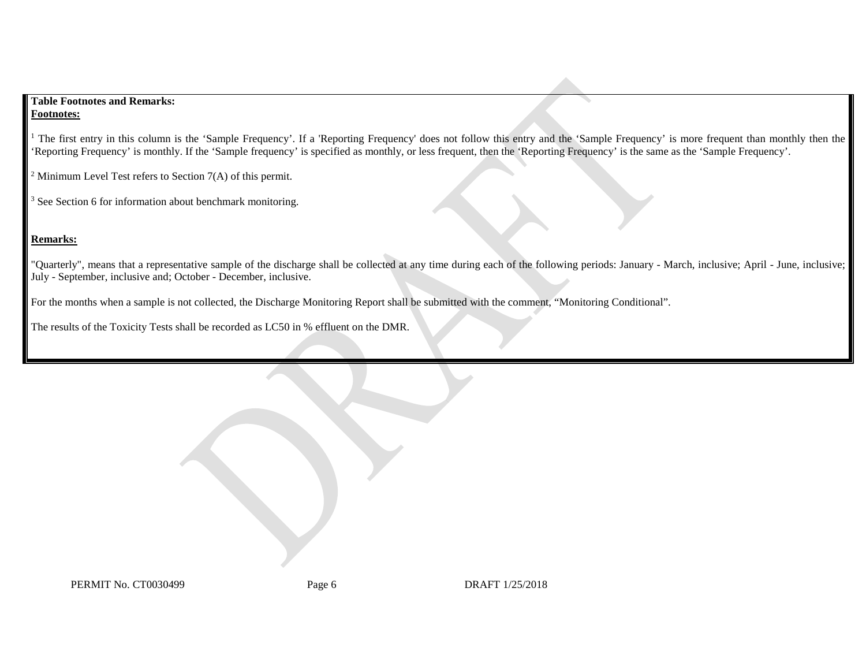### **Table Footnotes and Remarks: Footnotes:**

<sup>1</sup> The first entry in this column is the 'Sample Frequency'. If a 'Reporting Frequency' does not follow this entry and the 'Sample Frequency' is more frequent than monthly then the 'Reporting Frequency' is monthly. If the 'Sample frequency' is specified as monthly, or less frequent, then the 'Reporting Frequency' is the same as the 'Sample Frequency'.

<sup>2</sup> Minimum Level Test refers to Section  $7(A)$  of this permit.

<sup>3</sup> See Section 6 for information about benchmark monitoring.

# **Remarks:**

"Quarterly", means that a representative sample of the discharge shall be collected at any time during each of the following periods: January - March, inclusive; April - June, inclusive; July - September, inclusive and; October - December, inclusive.

For the months when a sample is not collected, the Discharge Monitoring Report shall be submitted with the comment, "Monitoring Conditional".

The results of the Toxicity Tests shall be recorded as LC50 in % effluent on the DMR.

PERMIT No. CT0030499 Page 6 DRAFT 1/25/2018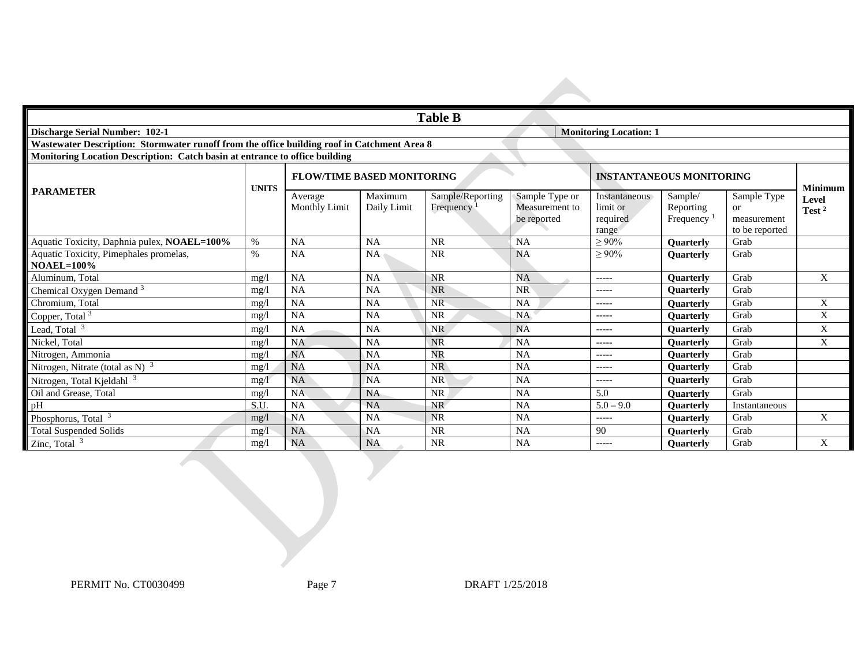| Table B                                                                                     |              |                                   |                        |                               |                                                 |                                                       |                                       |                                                               |                            |
|---------------------------------------------------------------------------------------------|--------------|-----------------------------------|------------------------|-------------------------------|-------------------------------------------------|-------------------------------------------------------|---------------------------------------|---------------------------------------------------------------|----------------------------|
| <b>Discharge Serial Number: 102-1</b>                                                       |              |                                   |                        |                               |                                                 | <b>Monitoring Location: 1</b>                         |                                       |                                                               |                            |
| Wastewater Description: Stormwater runoff from the office building roof in Catchment Area 8 |              |                                   |                        |                               |                                                 |                                                       |                                       |                                                               |                            |
| Monitoring Location Description: Catch basin at entrance to office building                 |              |                                   |                        |                               |                                                 |                                                       |                                       |                                                               |                            |
|                                                                                             | <b>UNITS</b> | <b>FLOW/TIME BASED MONITORING</b> |                        |                               |                                                 | <b>INSTANTANEOUS MONITORING</b>                       |                                       |                                                               | <b>Minimum</b>             |
| <b>PARAMETER</b>                                                                            |              | Average<br>Monthly Limit          | Maximum<br>Daily Limit | Sample/Reporting<br>Frequency | Sample Type or<br>Measurement to<br>be reported | <b>Instantaneous</b><br>limit or<br>required<br>range | Sample/<br>Reporting<br>Frequency $1$ | Sample Type<br><sub>or</sub><br>measurement<br>to be reported | Level<br>Test <sup>2</sup> |
| Aquatic Toxicity, Daphnia pulex, NOAEL=100%                                                 | $\%$         | NA                                | <b>NA</b>              | <b>NR</b>                     | <b>NA</b>                                       | $\geq 90\%$                                           | <b>Ouarterly</b>                      | Grab                                                          |                            |
| Aquatic Toxicity, Pimephales promelas,<br>$NOAEL=100\%$                                     | $\%$         | NA                                | <b>NA</b>              | <b>NR</b>                     | <b>NA</b>                                       | $\geq 90\%$                                           | <b>Ouarterly</b>                      | Grab                                                          |                            |
| Aluminum, Total                                                                             | mg/          | NA                                | NA                     | <b>NR</b>                     | <b>NA</b>                                       | $--- - -$                                             | <b>Ouarterly</b>                      | Grab                                                          | X                          |
| Chemical Oxygen Demand <sup>3</sup>                                                         | mg/l         | <b>NA</b>                         | <b>NA</b>              | <b>NR</b>                     | <b>NR</b>                                       | $- - - - -$                                           | Quarterly                             | Grab                                                          |                            |
| Chromium, Total                                                                             | mg/          | NA                                | <b>NA</b>              | <b>NR</b>                     | <b>NA</b>                                       | $--- - -$                                             | <b>Ouarterly</b>                      | Grab                                                          | X                          |
| Copper, Total <sup>3</sup>                                                                  | mg/          | <b>NA</b>                         | <b>NA</b>              | <b>NR</b>                     | NA                                              | -----                                                 | <b>Ouarterly</b>                      | Grab                                                          | X                          |
| Lead, Total <sup>3</sup>                                                                    | mg/          | <b>NA</b>                         | <b>NA</b>              | <b>NR</b>                     | <b>NA</b>                                       | $--- -$                                               | <b>Ouarterly</b>                      | Grab                                                          | $\mathbf X$                |
| Nickel, Total                                                                               | mg/l         | <b>NA</b>                         | <b>NA</b>              | <b>NR</b>                     | <b>NA</b>                                       | $--- - -$                                             | <b>Ouarterly</b>                      | Grab                                                          | X                          |
| Nitrogen, Ammonia                                                                           | mg/l         | <b>NA</b>                         | <b>NA</b>              | <b>NR</b>                     | <b>NA</b>                                       | $--- - -$                                             | <b>Ouarterly</b>                      | Grab                                                          |                            |
| Nitrogen, Nitrate (total as N) $3$                                                          | mg/          | <b>NA</b>                         | <b>NA</b>              | <b>NR</b>                     | <b>NA</b>                                       | -----                                                 | <b>Ouarterly</b>                      | Grab                                                          |                            |
| Nitrogen, Total Kjeldahl <sup>3</sup>                                                       | mg/1         | <b>NA</b>                         | <b>NA</b>              | <b>NR</b>                     | <b>NA</b>                                       | $- - - - -$                                           | <b>Ouarterly</b>                      | Grab                                                          |                            |
| Oil and Grease, Total                                                                       | mg/l         | <b>NA</b>                         | <b>NA</b>              | <b>NR</b>                     | <b>NA</b>                                       | 5.0                                                   | <b>Ouarterly</b>                      | Grab                                                          |                            |
| pH                                                                                          | S.U.         | <b>NA</b>                         | NA                     | <b>NR</b>                     | <b>NA</b>                                       | $5.0 - 9.0$                                           | <b>Ouarterly</b>                      | Instantaneous                                                 |                            |
| Phosphorus, Total <sup>3</sup>                                                              | mg/l         | <b>NA</b>                         | <b>NA</b>              | NR                            | <b>NA</b>                                       | $- - - - -$                                           | <b>Ouarterly</b>                      | Grab                                                          | X                          |
| <b>Total Suspended Solids</b>                                                               | mg/l         | <b>NA</b>                         | <b>NA</b>              | <b>NR</b>                     | <b>NA</b>                                       | 90                                                    | <b>Ouarterly</b>                      | Grab                                                          |                            |
| Zinc, Total $3$                                                                             | mg/          | <b>NA</b>                         | <b>NA</b>              | <b>NR</b>                     | <b>NA</b>                                       | -----                                                 | <b>Ouarterly</b>                      | Grab                                                          | X                          |

PERMIT No. CT0030499 Page 7 DRAFT 1/25/2018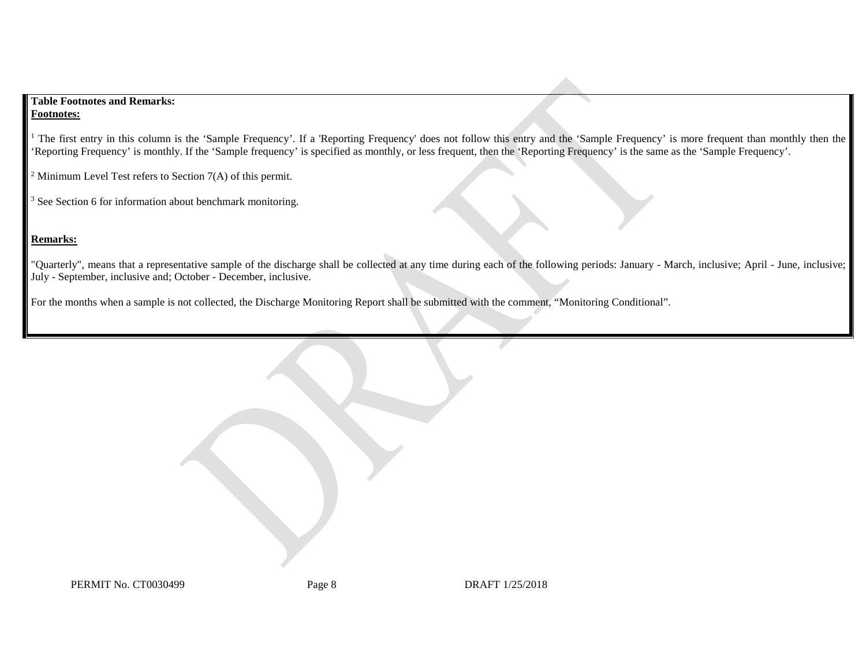## **Table Footnotes and Remarks: Footnotes:**

<sup>1</sup> The first entry in this column is the 'Sample Frequency'. If a 'Reporting Frequency' does not follow this entry and the 'Sample Frequency' is more frequent than monthly then the 'Reporting Frequency' is monthly. If the 'Sample frequency' is specified as monthly, or less frequent, then the 'Reporting Frequency' is the same as the 'Sample Frequency'.

<sup>2</sup> Minimum Level Test refers to Section  $7(A)$  of this permit.

<sup>3</sup> See Section 6 for information about benchmark monitoring.

# **Remarks:**

"Quarterly", means that a representative sample of the discharge shall be collected at any time during each of the following periods: January - March, inclusive; April - June, inclusive; July - September, inclusive and; October - December, inclusive.

For the months when a sample is not collected, the Discharge Monitoring Report shall be submitted with the comment, "Monitoring Conditional".

PERMIT No. CT0030499 Page 8 DRAFT 1/25/2018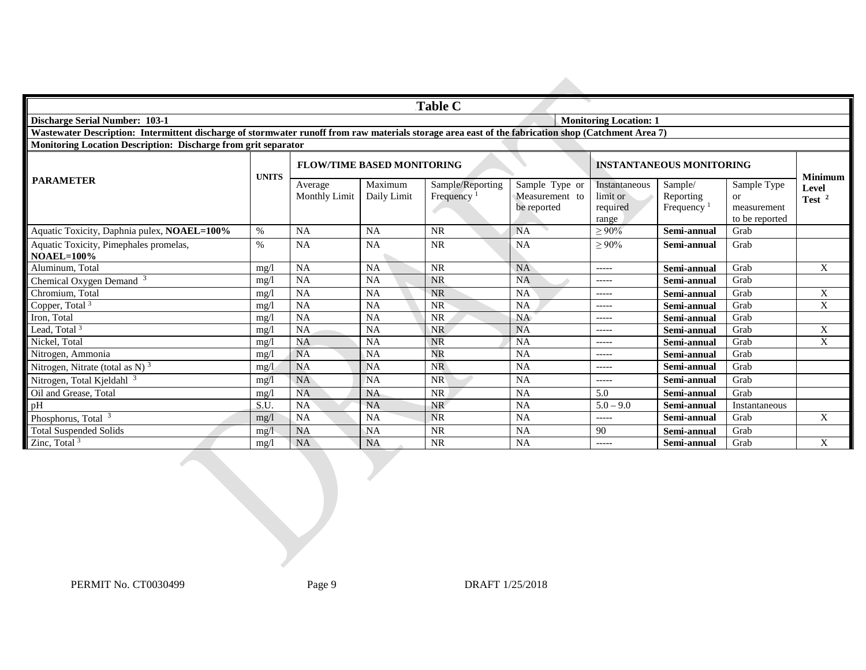| Table C                                                                                                                                             |                               |                                   |                        |                                            |                                                 |                                                |                                                             |                                                           |                   |
|-----------------------------------------------------------------------------------------------------------------------------------------------------|-------------------------------|-----------------------------------|------------------------|--------------------------------------------|-------------------------------------------------|------------------------------------------------|-------------------------------------------------------------|-----------------------------------------------------------|-------------------|
| <b>Discharge Serial Number: 103-1</b>                                                                                                               | <b>Monitoring Location: 1</b> |                                   |                        |                                            |                                                 |                                                |                                                             |                                                           |                   |
| Wastewater Description: Intermittent discharge of stormwater runoff from raw materials storage area east of the fabrication shop (Catchment Area 7) |                               |                                   |                        |                                            |                                                 |                                                |                                                             |                                                           |                   |
| <b>Monitoring Location Description: Discharge from grit separator</b>                                                                               |                               |                                   |                        |                                            |                                                 |                                                |                                                             |                                                           |                   |
|                                                                                                                                                     | <b>UNITS</b>                  | <b>FLOW/TIME BASED MONITORING</b> |                        |                                            |                                                 |                                                | <b>INSTANTANEOUS MONITORING</b>                             |                                                           | <b>Minimum</b>    |
| <b>PARAMETER</b>                                                                                                                                    |                               | Average<br><b>Monthly Limit</b>   | Maximum<br>Daily Limit | Sample/Reporting<br>Frequency <sup>1</sup> | Sample Type or<br>Measurement to<br>be reported | Instantaneous<br>limit or<br>required<br>range | Sample/<br>Reporting<br>Frequency <sup><math>1</math></sup> | Sample Type<br><b>or</b><br>measurement<br>to be reported | Level<br>Test $2$ |
| Aquatic Toxicity, Daphnia pulex, NOAEL=100%                                                                                                         | $\%$                          | NA                                | <b>NA</b>              | <b>NR</b>                                  | <b>NA</b>                                       | $\geq 90\%$                                    | Semi-annual                                                 | Grab                                                      |                   |
| Aquatic Toxicity, Pimephales promelas,<br><b>NOAEL=100%</b>                                                                                         | $\%$                          | NA                                | <b>NA</b>              | <b>NR</b>                                  | <b>NA</b>                                       | $> 90\%$                                       | Semi-annual                                                 | Grab                                                      |                   |
| Aluminum. Total                                                                                                                                     | mg/l                          | <b>NA</b>                         | <b>NA</b>              | <b>NR</b>                                  | <b>NA</b>                                       | $--- - -$                                      | Semi-annual                                                 | Grab                                                      | X                 |
| Chemical Oxygen Demand <sup>3</sup>                                                                                                                 | mg/                           | NA                                | <b>NA</b>              | <b>NR</b>                                  | <b>NA</b>                                       | $--- - - -$                                    | Semi-annual                                                 | Grab                                                      |                   |
| Chromium, Total                                                                                                                                     | mg/l                          | <b>NA</b>                         | <b>NA</b>              | NR                                         | <b>NA</b>                                       | -----                                          | Semi-annual                                                 | Grab                                                      | X                 |
| Copper, Total <sup>3</sup>                                                                                                                          | mg/l                          | NA                                | <b>NA</b>              | <b>NR</b>                                  | <b>NA</b>                                       | $--- - - -$                                    | Semi-annual                                                 | Grab                                                      | X                 |
| Iron, Total                                                                                                                                         | mg/l                          | NA                                | <b>NA</b>              | <b>NR</b>                                  | <b>NA</b>                                       | -----                                          | Semi-annual                                                 | Grab                                                      |                   |
| Lead, Total <sup>3</sup>                                                                                                                            | mg/l                          | <b>NA</b>                         | <b>NA</b>              | <b>NR</b>                                  | <b>NA</b>                                       | -----                                          | Semi-annual                                                 | Grab                                                      | $\mathbf{X}$      |
| Nickel, Total                                                                                                                                       | mg/                           | <b>NA</b>                         | <b>NA</b>              | <b>NR</b>                                  | <b>NA</b>                                       | $--- - -$                                      | Semi-annual                                                 | Grab                                                      | X                 |
| Nitrogen, Ammonia                                                                                                                                   | mg/                           | <b>NA</b>                         | <b>NA</b>              | <b>NR</b>                                  | <b>NA</b>                                       | -----                                          | Semi-annual                                                 | Grab                                                      |                   |
| Nitrogen, Nitrate (total as N) $^3$                                                                                                                 | mg/                           | <b>NA</b>                         | <b>NA</b>              | <b>NR</b>                                  | <b>NA</b>                                       | $-----1$                                       | Semi-annual                                                 | Grab                                                      |                   |
| Nitrogen, Total Kjeldahl                                                                                                                            | mg/                           | NA                                | <b>NA</b>              | <b>NR</b>                                  | <b>NA</b>                                       | -----                                          | Semi-annual                                                 | Grab                                                      |                   |
| Oil and Grease, Total                                                                                                                               | mg/l                          | <b>NA</b>                         | <b>NA</b>              | <b>NR</b>                                  | <b>NA</b>                                       | 5.0                                            | Semi-annual                                                 | Grab                                                      |                   |
| pH                                                                                                                                                  | S.U.                          | <b>NA</b>                         | <b>NA</b>              | <b>NR</b>                                  | <b>NA</b>                                       | $5.0 - 9.0$                                    | Semi-annual                                                 | Instantaneous                                             |                   |
| Phosphorus, Total <sup>3</sup>                                                                                                                      | mg/l                          | <b>NA</b>                         | <b>NA</b>              | NR                                         | NA                                              | $-----1$                                       | Semi-annual                                                 | Grab                                                      | X                 |
| <b>Total Suspended Solids</b>                                                                                                                       | mg/                           | <b>NA</b>                         | NA                     | <b>NR</b>                                  | <b>NA</b>                                       | 90                                             | Semi-annual                                                 | Grab                                                      |                   |
| Zinc, Total $3$                                                                                                                                     | mg/l                          | NA                                | <b>NA</b>              | <b>NR</b>                                  | <b>NA</b>                                       | -----                                          | Semi-annual                                                 | Grab                                                      | X                 |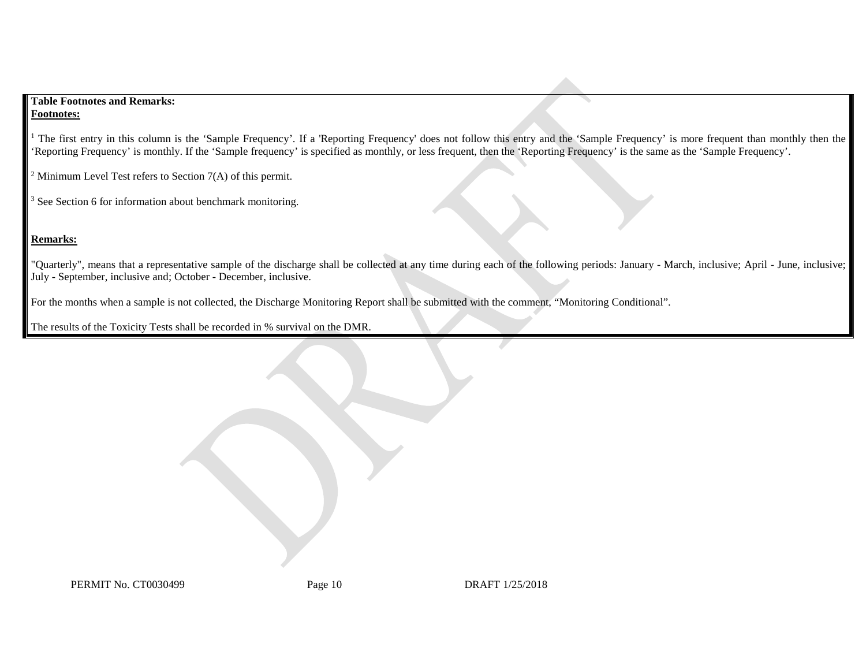### **Table Footnotes and Remarks: Footnotes:**

<sup>1</sup> The first entry in this column is the 'Sample Frequency'. If a 'Reporting Frequency' does not follow this entry and the 'Sample Frequency' is more frequent than monthly then the 'Reporting Frequency' is monthly. If the 'Sample frequency' is specified as monthly, or less frequent, then the 'Reporting Frequency' is the same as the 'Sample Frequency'.

<sup>2</sup> Minimum Level Test refers to Section  $7(A)$  of this permit.

<sup>3</sup> See Section 6 for information about benchmark monitoring.

# **Remarks:**

"Quarterly", means that a representative sample of the discharge shall be collected at any time during each of the following periods: January - March, inclusive; April - June, inclusive; July - September, inclusive and; October - December, inclusive.

For the months when a sample is not collected, the Discharge Monitoring Report shall be submitted with the comment, "Monitoring Conditional".

The results of the Toxicity Tests shall be recorded in % survival on the DMR.

PERMIT No. CT0030499 Page 10 Page 10 DRAFT 1/25/2018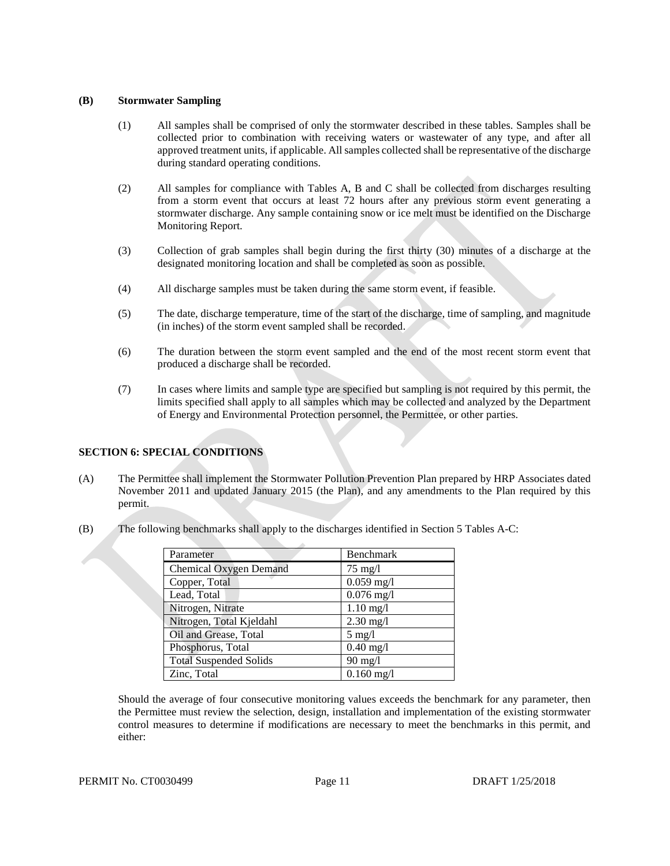#### **(B) Stormwater Sampling**

- (1) All samples shall be comprised of only the stormwater described in these tables. Samples shall be collected prior to combination with receiving waters or wastewater of any type, and after all approved treatment units, if applicable. All samples collected shall be representative of the discharge during standard operating conditions.
- (2) All samples for compliance with Tables A, B and C shall be collected from discharges resulting from a storm event that occurs at least 72 hours after any previous storm event generating a stormwater discharge. Any sample containing snow or ice melt must be identified on the Discharge Monitoring Report.
- (3) Collection of grab samples shall begin during the first thirty (30) minutes of a discharge at the designated monitoring location and shall be completed as soon as possible.
- (4) All discharge samples must be taken during the same storm event, if feasible.
- (5) The date, discharge temperature, time of the start of the discharge, time of sampling, and magnitude (in inches) of the storm event sampled shall be recorded.
- (6) The duration between the storm event sampled and the end of the most recent storm event that produced a discharge shall be recorded.
- (7) In cases where limits and sample type are specified but sampling is not required by this permit, the limits specified shall apply to all samples which may be collected and analyzed by the Department of Energy and Environmental Protection personnel, the Permittee, or other parties.

# **SECTION 6: SPECIAL CONDITIONS**

- (A) The Permittee shall implement the Stormwater Pollution Prevention Plan prepared by HRP Associates dated November 2011 and updated January 2015 (the Plan), and any amendments to the Plan required by this permit.
- (B) The following benchmarks shall apply to the discharges identified in Section 5 Tables A-C:

| Parameter                     | Benchmark         |
|-------------------------------|-------------------|
| Chemical Oxygen Demand        | $75 \text{ mg}/l$ |
| Copper, Total                 | $0.059$ mg/l      |
| Lead, Total                   | $0.076$ mg/l      |
| Nitrogen, Nitrate             | $1.10$ mg/l       |
| Nitrogen, Total Kjeldahl      | $2.30$ mg/l       |
| Oil and Grease, Total         | $5 \text{ mg}/l$  |
| Phosphorus, Total             | $0.40$ mg/l       |
| <b>Total Suspended Solids</b> | $90 \text{ mg}/l$ |
| Zinc, Total                   | $0.160$ mg/l      |

Should the average of four consecutive monitoring values exceeds the benchmark for any parameter, then the Permittee must review the selection, design, installation and implementation of the existing stormwater control measures to determine if modifications are necessary to meet the benchmarks in this permit, and either: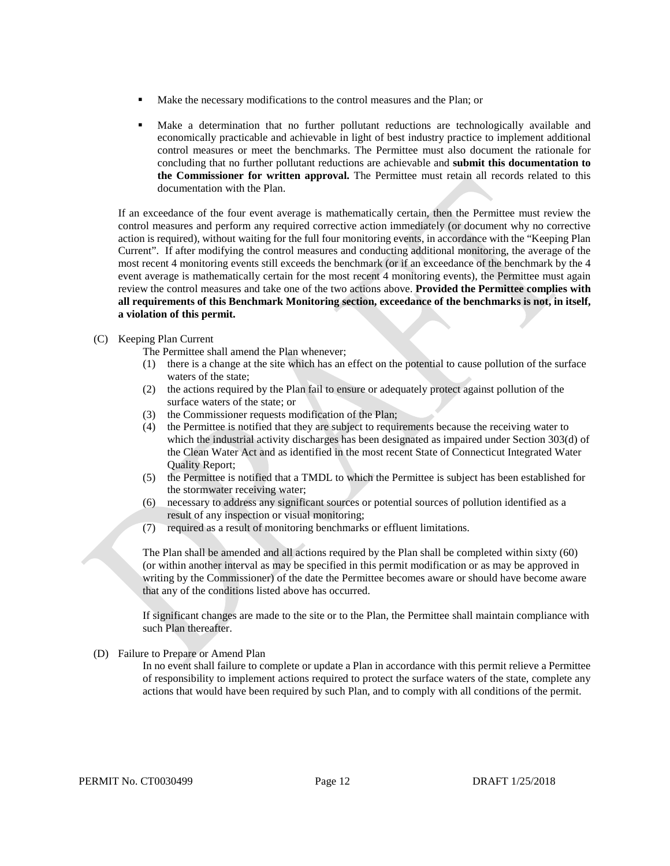- Make the necessary modifications to the control measures and the Plan; or
- Make a determination that no further pollutant reductions are technologically available and economically practicable and achievable in light of best industry practice to implement additional control measures or meet the benchmarks. The Permittee must also document the rationale for concluding that no further pollutant reductions are achievable and **submit this documentation to the Commissioner for written approval.** The Permittee must retain all records related to this documentation with the Plan.

If an exceedance of the four event average is mathematically certain, then the Permittee must review the control measures and perform any required corrective action immediately (or document why no corrective action is required), without waiting for the full four monitoring events, in accordance with the "Keeping Plan Current". If after modifying the control measures and conducting additional monitoring, the average of the most recent 4 monitoring events still exceeds the benchmark (or if an exceedance of the benchmark by the 4 event average is mathematically certain for the most recent 4 monitoring events), the Permittee must again review the control measures and take one of the two actions above. **Provided the Permittee complies with all requirements of this Benchmark Monitoring section, exceedance of the benchmarks is not, in itself, a violation of this permit.** 

#### (C) Keeping Plan Current

The Permittee shall amend the Plan whenever;

- (1) there is a change at the site which has an effect on the potential to cause pollution of the surface waters of the state;
- (2) the actions required by the Plan fail to ensure or adequately protect against pollution of the surface waters of the state; or
- (3) the Commissioner requests modification of the Plan;
- (4) the Permittee is notified that they are subject to requirements because the receiving water to which the industrial activity discharges has been designated as impaired under Section 303(d) of the Clean Water Act and as identified in the most recent State of Connecticut Integrated Water Quality Report;
- (5) the Permittee is notified that a TMDL to which the Permittee is subject has been established for the stormwater receiving water;
- (6) necessary to address any significant sources or potential sources of pollution identified as a result of any inspection or visual monitoring;
- (7) required as a result of monitoring benchmarks or effluent limitations.

The Plan shall be amended and all actions required by the Plan shall be completed within sixty (60) (or within another interval as may be specified in this permit modification or as may be approved in writing by the Commissioner) of the date the Permittee becomes aware or should have become aware that any of the conditions listed above has occurred.

If significant changes are made to the site or to the Plan, the Permittee shall maintain compliance with such Plan thereafter.

(D) Failure to Prepare or Amend Plan

In no event shall failure to complete or update a Plan in accordance with this permit relieve a Permittee of responsibility to implement actions required to protect the surface waters of the state, complete any actions that would have been required by such Plan, and to comply with all conditions of the permit.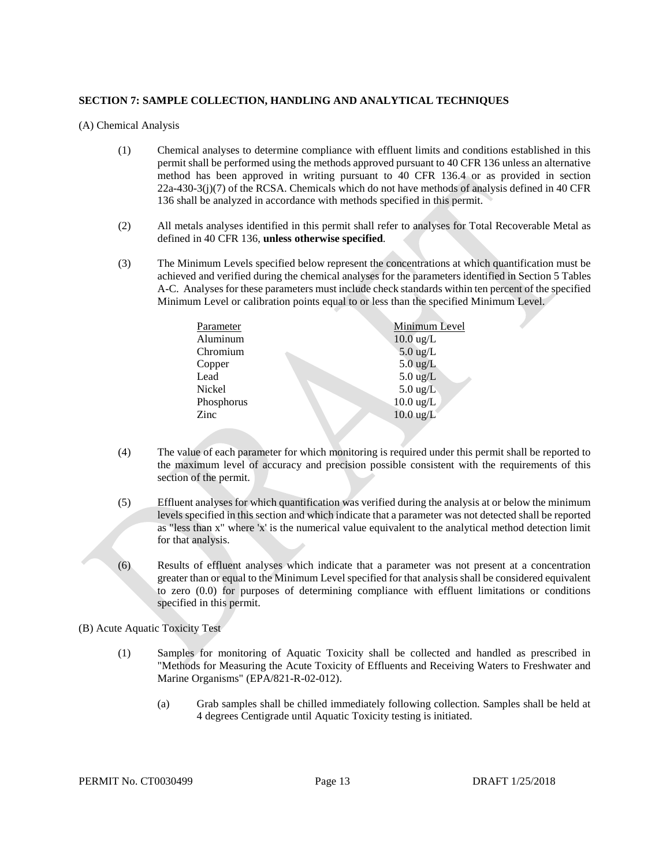#### **SECTION 7: SAMPLE COLLECTION, HANDLING AND ANALYTICAL TECHNIQUES**

(A) Chemical Analysis

- (1) Chemical analyses to determine compliance with effluent limits and conditions established in this permit shall be performed using the methods approved pursuant to 40 CFR 136 unless an alternative method has been approved in writing pursuant to 40 CFR 136.4 or as provided in section 22a-430-3(j)(7) of the RCSA. Chemicals which do not have methods of analysis defined in 40 CFR 136 shall be analyzed in accordance with methods specified in this permit.
- (2) All metals analyses identified in this permit shall refer to analyses for Total Recoverable Metal as defined in 40 CFR 136, **unless otherwise specified**.
- (3) The Minimum Levels specified below represent the concentrations at which quantification must be achieved and verified during the chemical analyses for the parameters identified in Section 5 Tables A-C. Analyses for these parameters must include check standards within ten percent of the specified Minimum Level or calibration points equal to or less than the specified Minimum Level.

| Parameter  | Minimum Level       |
|------------|---------------------|
| Aluminum   | $10.0 \text{ ug/L}$ |
| Chromium   | $5.0 \text{ ug/L}$  |
| Copper     | $5.0 \text{ ug/L}$  |
| Lead       | $5.0 \text{ ug/L}$  |
| Nickel     | $5.0 \text{ ug/L}$  |
| Phosphorus | $10.0 \text{ ug/L}$ |
| Zinc       | $10.0 \text{ ug/L}$ |
|            |                     |

- (4) The value of each parameter for which monitoring is required under this permit shall be reported to the maximum level of accuracy and precision possible consistent with the requirements of this section of the permit.
- (5) Effluent analyses for which quantification was verified during the analysis at or below the minimum levels specified in this section and which indicate that a parameter was not detected shall be reported as "less than x" where 'x' is the numerical value equivalent to the analytical method detection limit for that analysis.
- (6) Results of effluent analyses which indicate that a parameter was not present at a concentration greater than or equal to the Minimum Level specified for that analysis shall be considered equivalent to zero (0.0) for purposes of determining compliance with effluent limitations or conditions specified in this permit.

#### (B) Acute Aquatic Toxicity Test

- (1) Samples for monitoring of Aquatic Toxicity shall be collected and handled as prescribed in "Methods for Measuring the Acute Toxicity of Effluents and Receiving Waters to Freshwater and Marine Organisms" (EPA/821-R-02-012).
	- (a) Grab samples shall be chilled immediately following collection. Samples shall be held at 4 degrees Centigrade until Aquatic Toxicity testing is initiated.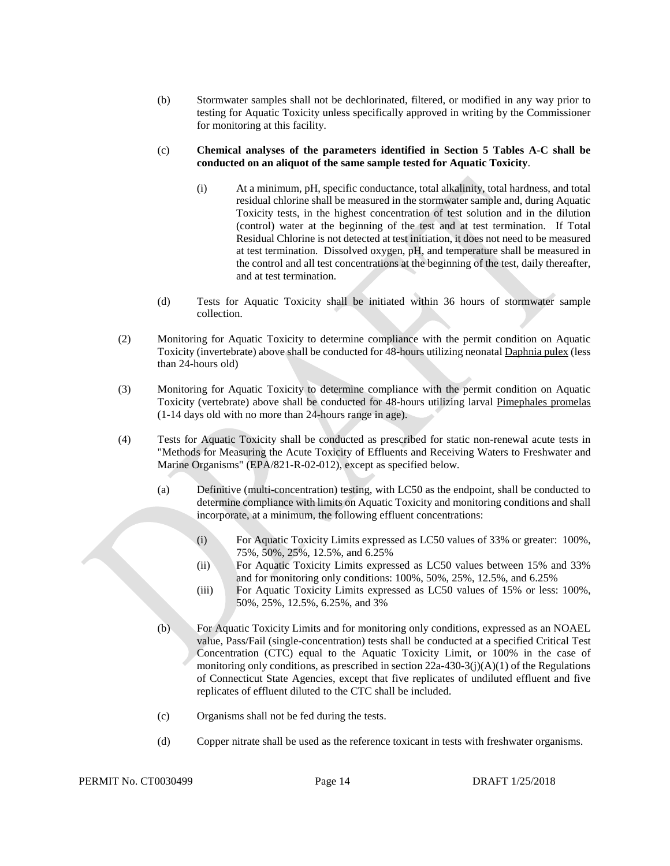(b) Stormwater samples shall not be dechlorinated, filtered, or modified in any way prior to testing for Aquatic Toxicity unless specifically approved in writing by the Commissioner for monitoring at this facility.

#### (c) **Chemical analyses of the parameters identified in Section 5 Tables A-C shall be conducted on an aliquot of the same sample tested for Aquatic Toxicity**.

- (i) At a minimum, pH, specific conductance, total alkalinity, total hardness, and total residual chlorine shall be measured in the stormwater sample and, during Aquatic Toxicity tests, in the highest concentration of test solution and in the dilution (control) water at the beginning of the test and at test termination. If Total Residual Chlorine is not detected at test initiation, it does not need to be measured at test termination. Dissolved oxygen, pH, and temperature shall be measured in the control and all test concentrations at the beginning of the test, daily thereafter, and at test termination.
- (d) Tests for Aquatic Toxicity shall be initiated within 36 hours of stormwater sample collection.
- (2) Monitoring for Aquatic Toxicity to determine compliance with the permit condition on Aquatic Toxicity (invertebrate) above shall be conducted for 48-hours utilizing neonatal Daphnia pulex (less than 24-hours old)
- (3) Monitoring for Aquatic Toxicity to determine compliance with the permit condition on Aquatic Toxicity (vertebrate) above shall be conducted for 48-hours utilizing larval Pimephales promelas (1-14 days old with no more than 24-hours range in age).
- (4) Tests for Aquatic Toxicity shall be conducted as prescribed for static non-renewal acute tests in "Methods for Measuring the Acute Toxicity of Effluents and Receiving Waters to Freshwater and Marine Organisms" (EPA/821-R-02-012), except as specified below.
	- (a) Definitive (multi-concentration) testing, with LC50 as the endpoint, shall be conducted to determine compliance with limits on Aquatic Toxicity and monitoring conditions and shall incorporate, at a minimum, the following effluent concentrations:
		- (i) For Aquatic Toxicity Limits expressed as LC50 values of 33% or greater: 100%, 75%, 50%, 25%, 12.5%, and 6.25%
		- (ii) For Aquatic Toxicity Limits expressed as LC50 values between 15% and 33% and for monitoring only conditions: 100%, 50%, 25%, 12.5%, and 6.25%
		- (iii) For Aquatic Toxicity Limits expressed as LC50 values of 15% or less: 100%, 50%, 25%, 12.5%, 6.25%, and 3%
	- (b) For Aquatic Toxicity Limits and for monitoring only conditions, expressed as an NOAEL value, Pass/Fail (single-concentration) tests shall be conducted at a specified Critical Test Concentration (CTC) equal to the Aquatic Toxicity Limit, or 100% in the case of monitoring only conditions, as prescribed in section  $22a-430-3(j)(A)(1)$  of the Regulations of Connecticut State Agencies, except that five replicates of undiluted effluent and five replicates of effluent diluted to the CTC shall be included.
	- (c) Organisms shall not be fed during the tests.
	- (d) Copper nitrate shall be used as the reference toxicant in tests with freshwater organisms.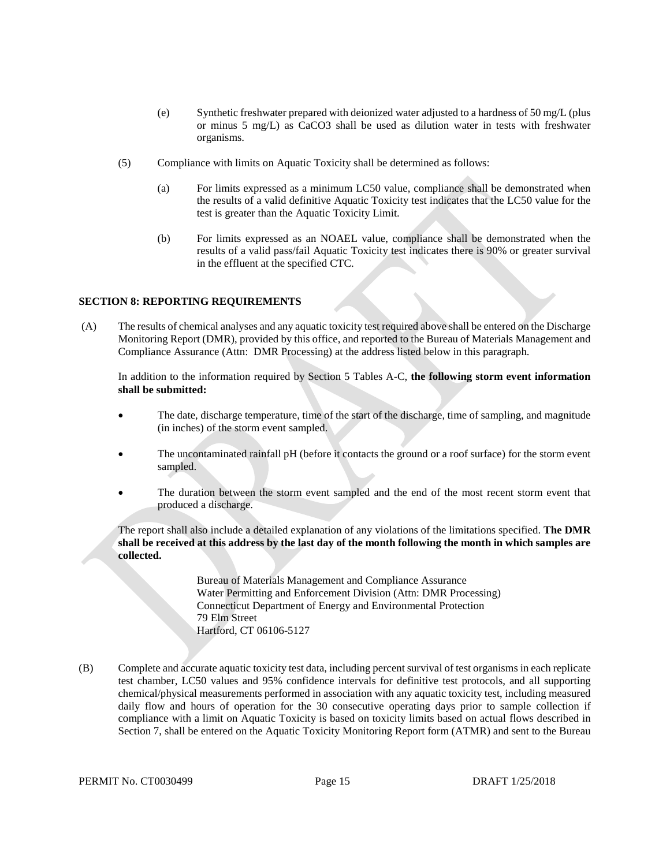- (e) Synthetic freshwater prepared with deionized water adjusted to a hardness of 50 mg/L (plus or minus 5 mg/L) as CaCO3 shall be used as dilution water in tests with freshwater organisms.
- (5) Compliance with limits on Aquatic Toxicity shall be determined as follows:
	- (a) For limits expressed as a minimum LC50 value, compliance shall be demonstrated when the results of a valid definitive Aquatic Toxicity test indicates that the LC50 value for the test is greater than the Aquatic Toxicity Limit.
	- (b) For limits expressed as an NOAEL value, compliance shall be demonstrated when the results of a valid pass/fail Aquatic Toxicity test indicates there is 90% or greater survival in the effluent at the specified CTC.

#### **SECTION 8: REPORTING REQUIREMENTS**

(A) The results of chemical analyses and any aquatic toxicity test required above shall be entered on the Discharge Monitoring Report (DMR), provided by this office, and reported to the Bureau of Materials Management and Compliance Assurance (Attn: DMR Processing) at the address listed below in this paragraph.

In addition to the information required by Section 5 Tables A-C, **the following storm event information shall be submitted:**

- The date, discharge temperature, time of the start of the discharge, time of sampling, and magnitude (in inches) of the storm event sampled.
- The uncontaminated rainfall pH (before it contacts the ground or a roof surface) for the storm event sampled.
- The duration between the storm event sampled and the end of the most recent storm event that produced a discharge.

The report shall also include a detailed explanation of any violations of the limitations specified. **The DMR shall be received at this address by the last day of the month following the month in which samples are collected.**

> Bureau of Materials Management and Compliance Assurance Water Permitting and Enforcement Division (Attn: DMR Processing) Connecticut Department of Energy and Environmental Protection 79 Elm Street Hartford, CT 06106-5127

(B) Complete and accurate aquatic toxicity test data, including percent survival of test organisms in each replicate test chamber, LC50 values and 95% confidence intervals for definitive test protocols, and all supporting chemical/physical measurements performed in association with any aquatic toxicity test, including measured daily flow and hours of operation for the 30 consecutive operating days prior to sample collection if compliance with a limit on Aquatic Toxicity is based on toxicity limits based on actual flows described in Section 7, shall be entered on the Aquatic Toxicity Monitoring Report form (ATMR) and sent to the Bureau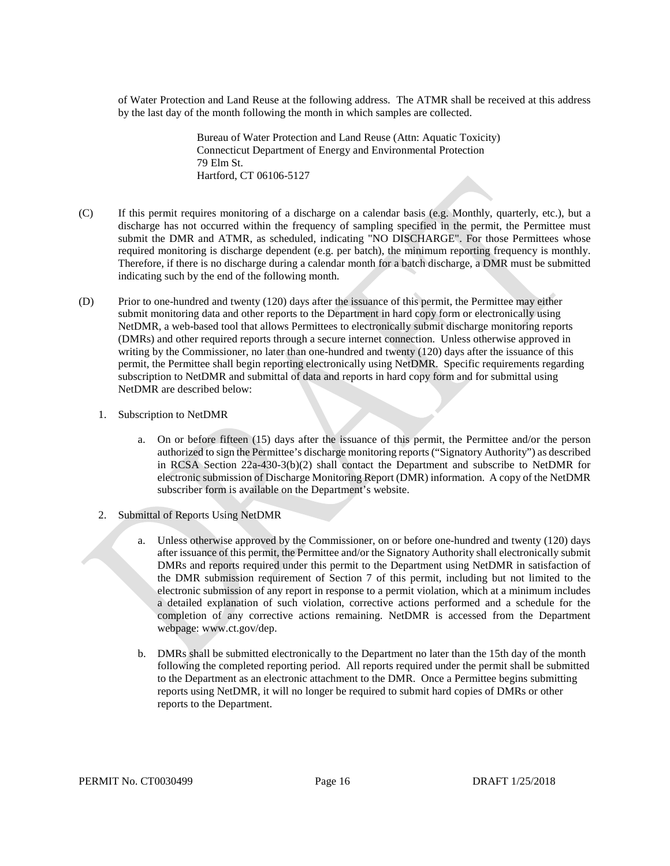of Water Protection and Land Reuse at the following address. The ATMR shall be received at this address by the last day of the month following the month in which samples are collected.

> Bureau of Water Protection and Land Reuse (Attn: Aquatic Toxicity) Connecticut Department of Energy and Environmental Protection 79 Elm St. Hartford, CT 06106-5127

- (C) If this permit requires monitoring of a discharge on a calendar basis (e.g. Monthly, quarterly, etc.), but a discharge has not occurred within the frequency of sampling specified in the permit, the Permittee must submit the DMR and ATMR, as scheduled, indicating "NO DISCHARGE". For those Permittees whose required monitoring is discharge dependent (e.g. per batch), the minimum reporting frequency is monthly. Therefore, if there is no discharge during a calendar month for a batch discharge, a DMR must be submitted indicating such by the end of the following month.
- (D) Prior to one-hundred and twenty (120) days after the issuance of this permit, the Permittee may either submit monitoring data and other reports to the Department in hard copy form or electronically using NetDMR, a web-based tool that allows Permittees to electronically submit discharge monitoring reports (DMRs) and other required reports through a secure internet connection. Unless otherwise approved in writing by the Commissioner, no later than one-hundred and twenty (120) days after the issuance of this permit, the Permittee shall begin reporting electronically using NetDMR. Specific requirements regarding subscription to NetDMR and submittal of data and reports in hard copy form and for submittal using NetDMR are described below:
	- 1. Subscription to NetDMR
		- a. On or before fifteen (15) days after the issuance of this permit, the Permittee and/or the person authorized to sign the Permittee's discharge monitoring reports ("Signatory Authority") as described in RCSA Section 22a-430-3(b)(2) shall contact the Department and subscribe to NetDMR for electronic submission of Discharge Monitoring Report (DMR) information. A copy of the NetDMR subscriber form is available on the Department's website.
	- 2. Submittal of Reports Using NetDMR
		- a. Unless otherwise approved by the Commissioner, on or before one-hundred and twenty (120) days after issuance of this permit, the Permittee and/or the Signatory Authority shall electronically submit DMRs and reports required under this permit to the Department using NetDMR in satisfaction of the DMR submission requirement of Section 7 of this permit, including but not limited to the electronic submission of any report in response to a permit violation, which at a minimum includes a detailed explanation of such violation, corrective actions performed and a schedule for the completion of any corrective actions remaining. NetDMR is accessed from the Department webpage: www.ct.gov/dep.
		- b. DMRs shall be submitted electronically to the Department no later than the 15th day of the month following the completed reporting period. All reports required under the permit shall be submitted to the Department as an electronic attachment to the DMR. Once a Permittee begins submitting reports using NetDMR, it will no longer be required to submit hard copies of DMRs or other reports to the Department.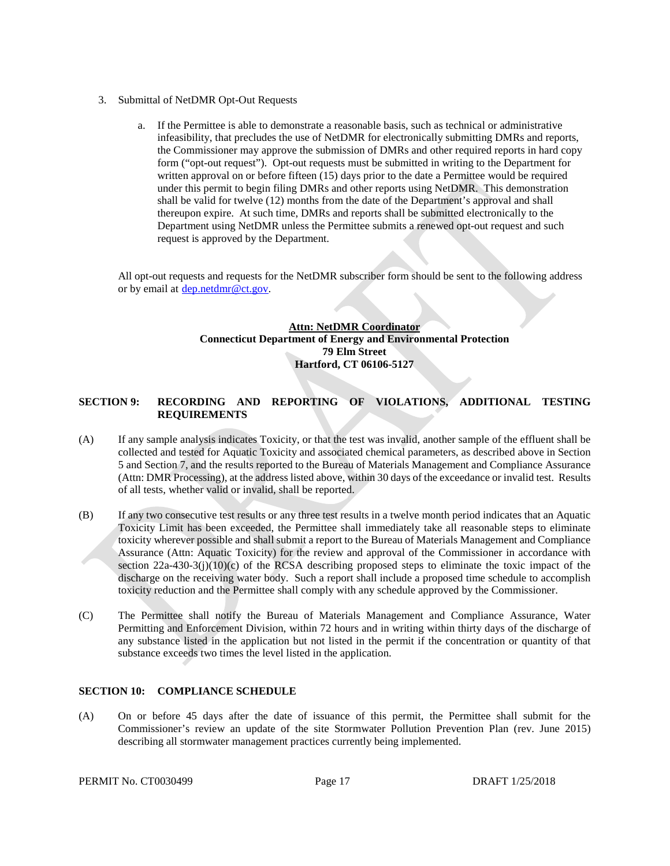- 3. Submittal of NetDMR Opt-Out Requests
	- a. If the Permittee is able to demonstrate a reasonable basis, such as technical or administrative infeasibility, that precludes the use of NetDMR for electronically submitting DMRs and reports, the Commissioner may approve the submission of DMRs and other required reports in hard copy form ("opt-out request"). Opt-out requests must be submitted in writing to the Department for written approval on or before fifteen (15) days prior to the date a Permittee would be required under this permit to begin filing DMRs and other reports using NetDMR. This demonstration shall be valid for twelve (12) months from the date of the Department's approval and shall thereupon expire. At such time, DMRs and reports shall be submitted electronically to the Department using NetDMR unless the Permittee submits a renewed opt-out request and such request is approved by the Department.

All opt-out requests and requests for the NetDMR subscriber form should be sent to the following address or by email at **dep.netdmr@ct.gov.** 

## **Attn: NetDMR Coordinator Connecticut Department of Energy and Environmental Protection 79 Elm Street Hartford, CT 06106-5127**

#### **SECTION 9: RECORDING AND REPORTING OF VIOLATIONS, ADDITIONAL TESTING REQUIREMENTS**

- (A) If any sample analysis indicates Toxicity, or that the test was invalid, another sample of the effluent shall be collected and tested for Aquatic Toxicity and associated chemical parameters, as described above in Section 5 and Section 7, and the results reported to the Bureau of Materials Management and Compliance Assurance (Attn: DMR Processing), at the address listed above, within 30 days of the exceedance or invalid test. Results of all tests, whether valid or invalid, shall be reported.
- (B) If any two consecutive test results or any three test results in a twelve month period indicates that an Aquatic Toxicity Limit has been exceeded, the Permittee shall immediately take all reasonable steps to eliminate toxicity wherever possible and shall submit a report to the Bureau of Materials Management and Compliance Assurance (Attn: Aquatic Toxicity) for the review and approval of the Commissioner in accordance with section  $22a-430-3(j)(10)(c)$  of the RCSA describing proposed steps to eliminate the toxic impact of the discharge on the receiving water body. Such a report shall include a proposed time schedule to accomplish toxicity reduction and the Permittee shall comply with any schedule approved by the Commissioner.
- (C) The Permittee shall notify the Bureau of Materials Management and Compliance Assurance, Water Permitting and Enforcement Division, within 72 hours and in writing within thirty days of the discharge of any substance listed in the application but not listed in the permit if the concentration or quantity of that substance exceeds two times the level listed in the application.

#### **SECTION 10: COMPLIANCE SCHEDULE**

(A) On or before 45 days after the date of issuance of this permit, the Permittee shall submit for the Commissioner's review an update of the site Stormwater Pollution Prevention Plan (rev. June 2015) describing all stormwater management practices currently being implemented.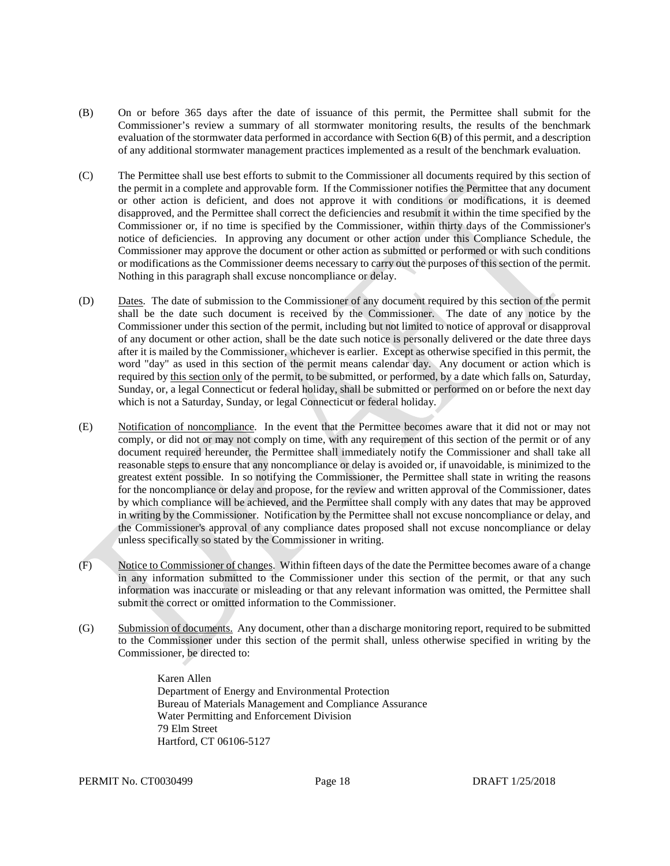- (B) On or before 365 days after the date of issuance of this permit, the Permittee shall submit for the Commissioner's review a summary of all stormwater monitoring results, the results of the benchmark evaluation of the stormwater data performed in accordance with Section 6(B) of this permit, and a description of any additional stormwater management practices implemented as a result of the benchmark evaluation.
- (C) The Permittee shall use best efforts to submit to the Commissioner all documents required by this section of the permit in a complete and approvable form. If the Commissioner notifies the Permittee that any document or other action is deficient, and does not approve it with conditions or modifications, it is deemed disapproved, and the Permittee shall correct the deficiencies and resubmit it within the time specified by the Commissioner or, if no time is specified by the Commissioner, within thirty days of the Commissioner's notice of deficiencies. In approving any document or other action under this Compliance Schedule, the Commissioner may approve the document or other action as submitted or performed or with such conditions or modifications as the Commissioner deems necessary to carry out the purposes of this section of the permit. Nothing in this paragraph shall excuse noncompliance or delay.
- (D) Dates. The date of submission to the Commissioner of any document required by this section of the permit shall be the date such document is received by the Commissioner. The date of any notice by the Commissioner under this section of the permit, including but not limited to notice of approval or disapproval of any document or other action, shall be the date such notice is personally delivered or the date three days after it is mailed by the Commissioner, whichever is earlier. Except as otherwise specified in this permit, the word "day" as used in this section of the permit means calendar day. Any document or action which is required by this section only of the permit, to be submitted, or performed, by a date which falls on, Saturday, Sunday, or, a legal Connecticut or federal holiday, shall be submitted or performed on or before the next day which is not a Saturday, Sunday, or legal Connecticut or federal holiday.
- (E) Notification of noncompliance. In the event that the Permittee becomes aware that it did not or may not comply, or did not or may not comply on time, with any requirement of this section of the permit or of any document required hereunder, the Permittee shall immediately notify the Commissioner and shall take all reasonable steps to ensure that any noncompliance or delay is avoided or, if unavoidable, is minimized to the greatest extent possible. In so notifying the Commissioner, the Permittee shall state in writing the reasons for the noncompliance or delay and propose, for the review and written approval of the Commissioner, dates by which compliance will be achieved, and the Permittee shall comply with any dates that may be approved in writing by the Commissioner. Notification by the Permittee shall not excuse noncompliance or delay, and the Commissioner's approval of any compliance dates proposed shall not excuse noncompliance or delay unless specifically so stated by the Commissioner in writing.
- (F) Notice to Commissioner of changes. Within fifteen days of the date the Permittee becomes aware of a change in any information submitted to the Commissioner under this section of the permit, or that any such information was inaccurate or misleading or that any relevant information was omitted, the Permittee shall submit the correct or omitted information to the Commissioner.
- (G) Submission of documents. Any document, other than a discharge monitoring report, required to be submitted to the Commissioner under this section of the permit shall, unless otherwise specified in writing by the Commissioner, be directed to:

Karen Allen Department of Energy and Environmental Protection Bureau of Materials Management and Compliance Assurance Water Permitting and Enforcement Division 79 Elm Street Hartford, CT 06106-5127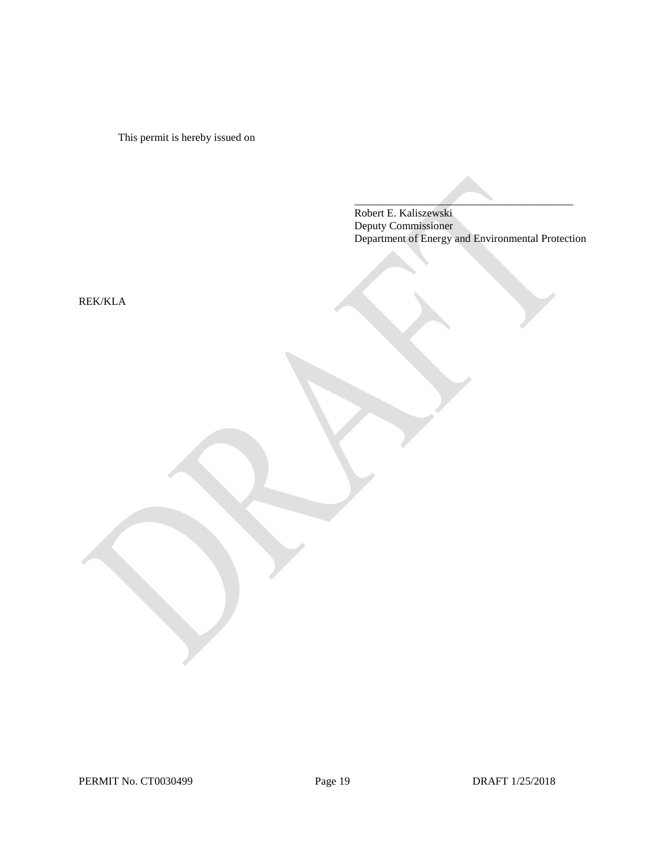This permit is hereby issued on

Robert E. Kaliszewski Deputy Commissioner Department of Energy and Environmental Protection

 $\overline{\phantom{a}}$  , and the set of the set of the set of the set of the set of the set of the set of the set of the set of the set of the set of the set of the set of the set of the set of the set of the set of the set of the s

REK/KLA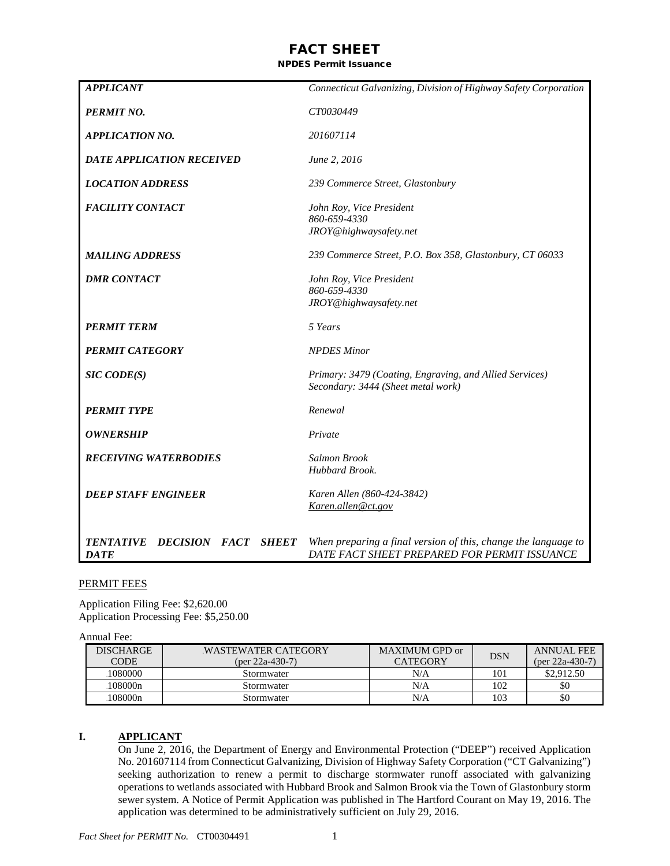# FACT SHEET

### NPDES Permit Issuance

| <b>APPLICANT</b>                             | Connecticut Galvanizing, Division of Highway Safety Corporation                                                |
|----------------------------------------------|----------------------------------------------------------------------------------------------------------------|
| <b>PERMIT NO.</b>                            | CT0030449                                                                                                      |
| <b>APPLICATION NO.</b>                       | 201607114                                                                                                      |
| DATE APPLICATION RECEIVED                    | June 2, 2016                                                                                                   |
| <b>LOCATION ADDRESS</b>                      | 239 Commerce Street, Glastonbury                                                                               |
| <b>FACILITY CONTACT</b>                      | John Roy, Vice President<br>860-659-4330<br>JROY@highwaysafety.net                                             |
| <b>MAILING ADDRESS</b>                       | 239 Commerce Street, P.O. Box 358, Glastonbury, CT 06033                                                       |
| <b>DMR CONTACT</b>                           | John Roy, Vice President<br>860-659-4330<br>JROY@highwaysafety.net                                             |
| <b>PERMIT TERM</b>                           | 5 Years                                                                                                        |
| <b>PERMIT CATEGORY</b>                       | <b>NPDES Minor</b>                                                                                             |
| <b>SIC CODE(S)</b>                           | Primary: 3479 (Coating, Engraving, and Allied Services)<br>Secondary: 3444 (Sheet metal work)                  |
| <b>PERMIT TYPE</b>                           | Renewal                                                                                                        |
| <b>OWNERSHIP</b>                             | Private                                                                                                        |
| <b>RECEIVING WATERBODIES</b>                 | <b>Salmon Brook</b><br>Hubbard Brook.                                                                          |
| <b>DEEP STAFF ENGINEER</b>                   | Karen Allen (860-424-3842)<br>Karen.allen@ct.gov                                                               |
| TENTATIVE DECISION FACT SHEET<br><b>DATE</b> | When preparing a final version of this, change the language to<br>DATE FACT SHEET PREPARED FOR PERMIT ISSUANCE |

#### PERMIT FEES

Application Filing Fee: \$2,620.00 Application Processing Fee: \$5,250.00

#### Annual Fee:

| <b>DISCHARGE</b><br><b>CODE</b> | WASTEWATER CATEGORY<br>$(per 22a-430-7)$ | MAXIMUM GPD or<br>CATEGORY | <b>DSN</b> | <b>ANNUAL FEE</b><br>$(per 22a-430-7)$ |
|---------------------------------|------------------------------------------|----------------------------|------------|----------------------------------------|
| 1080000                         | Stormwater                               | N/A                        | 101        | \$2,912.50                             |
| 108000n                         | Stormwater                               | N/A                        | 102        | \$0                                    |
| 108000n                         | Stormwater                               | N/A                        | 103        | \$0                                    |

#### **I. APPLICANT**

On June 2, 2016, the Department of Energy and Environmental Protection ("DEEP") received Application No. 201607114 from Connecticut Galvanizing, Division of Highway Safety Corporation ("CT Galvanizing") seeking authorization to renew a permit to discharge stormwater runoff associated with galvanizing operations to wetlands associated with Hubbard Brook and Salmon Brook via the Town of Glastonbury storm sewer system. A Notice of Permit Application was published in The Hartford Courant on May 19, 2016. The application was determined to be administratively sufficient on July 29, 2016.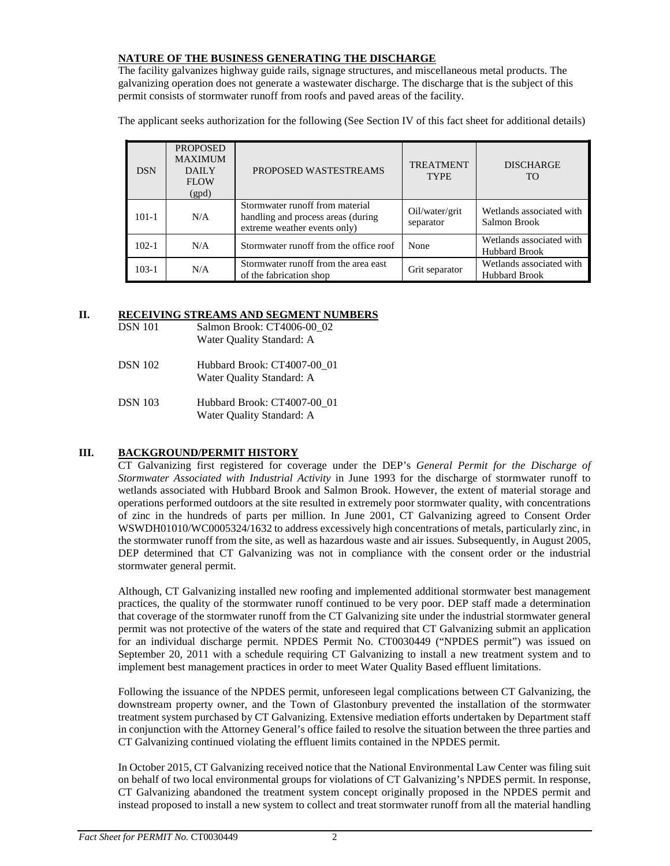## **NATURE OF THE BUSINESS GENERATING THE DISCHARGE**

The facility galvanizes highway guide rails, signage structures, and miscellaneous metal products. The galvanizing operation does not generate a wastewater discharge. The discharge that is the subject of this permit consists of stormwater runoff from roofs and paved areas of the facility.

The applicant seeks authorization for the following (See Section IV of this fact sheet for additional details)

| <b>DSN</b> | <b>PROPOSED</b><br><b>MAXIMUM</b><br><b>DAILY</b><br><b>FLOW</b><br>(gpd) | PROPOSED WASTESTREAMS                                                                                 | <b>TREATMENT</b><br><b>TYPE</b> | <b>DISCHARGE</b><br>TO.                          |
|------------|---------------------------------------------------------------------------|-------------------------------------------------------------------------------------------------------|---------------------------------|--------------------------------------------------|
| $101 - 1$  | N/A                                                                       | Stormwater runoff from material<br>handling and process areas (during<br>extreme weather events only) | Oil/water/grit<br>separator     | Wetlands associated with<br>Salmon Brook         |
| $102 - 1$  | N/A                                                                       | Stormwater runoff from the office roof                                                                | None                            | Wetlands associated with<br><b>Hubbard Brook</b> |
| $103-1$    | N/A                                                                       | Stormwater runoff from the area east<br>of the fabrication shop                                       | Grit separator                  | Wetlands associated with<br><b>Hubbard Brook</b> |

## **II. RECEIVING STREAMS AND SEGMENT NUMBERS**

| <b>DSN 101</b> | Salmon Brook: CT4006-00 02<br>Water Quality Standard: A  |
|----------------|----------------------------------------------------------|
| <b>DSN</b> 102 | Hubbard Brook: CT4007-00 01<br>Water Quality Standard: A |
| <b>DSN</b> 103 | Hubbard Brook: CT4007-00 01<br>Water Quality Standard: A |

# **III. BACKGROUND/PERMIT HISTORY**

CT Galvanizing first registered for coverage under the DEP's *General Permit for the Discharge of Stormwater Associated with Industrial Activity* in June 1993 for the discharge of stormwater runoff to wetlands associated with Hubbard Brook and Salmon Brook. However, the extent of material storage and operations performed outdoors at the site resulted in extremely poor stormwater quality, with concentrations of zinc in the hundreds of parts per million. In June 2001, CT Galvanizing agreed to Consent Order WSWDH01010/WC0005324/1632 to address excessively high concentrations of metals, particularly zinc, in the stormwater runoff from the site, as well as hazardous waste and air issues. Subsequently, in August 2005, DEP determined that CT Galvanizing was not in compliance with the consent order or the industrial stormwater general permit.

Although, CT Galvanizing installed new roofing and implemented additional stormwater best management practices, the quality of the stormwater runoff continued to be very poor. DEP staff made a determination that coverage of the stormwater runoff from the CT Galvanizing site under the industrial stormwater general permit was not protective of the waters of the state and required that CT Galvanizing submit an application for an individual discharge permit. NPDES Permit No. CT0030449 ("NPDES permit") was issued on September 20, 2011 with a schedule requiring CT Galvanizing to install a new treatment system and to implement best management practices in order to meet Water Quality Based effluent limitations.

Following the issuance of the NPDES permit, unforeseen legal complications between CT Galvanizing, the downstream property owner, and the Town of Glastonbury prevented the installation of the stormwater treatment system purchased by CT Galvanizing. Extensive mediation efforts undertaken by Department staff in conjunction with the Attorney General's office failed to resolve the situation between the three parties and CT Galvanizing continued violating the effluent limits contained in the NPDES permit.

In October 2015, CT Galvanizing received notice that the National Environmental Law Center was filing suit on behalf of two local environmental groups for violations of CT Galvanizing's NPDES permit. In response, CT Galvanizing abandoned the treatment system concept originally proposed in the NPDES permit and instead proposed to install a new system to collect and treat stormwater runoff from all the material handling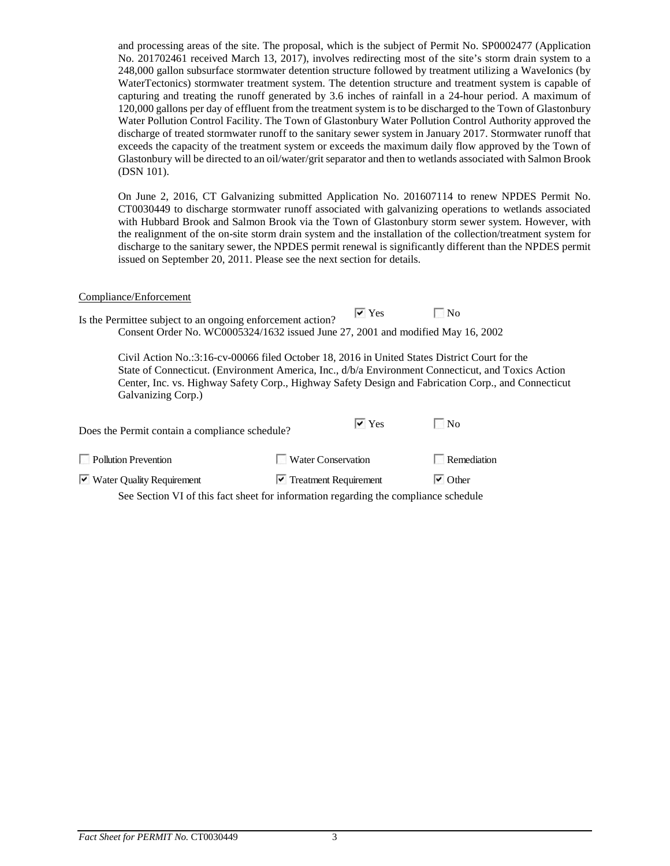and processing areas of the site. The proposal, which is the subject of Permit No. SP0002477 (Application No. 201702461 received March 13, 2017), involves redirecting most of the site's storm drain system to a 248,000 gallon subsurface stormwater detention structure followed by treatment utilizing a WaveIonics (by WaterTectonics) stormwater treatment system. The detention structure and treatment system is capable of capturing and treating the runoff generated by 3.6 inches of rainfall in a 24-hour period. A maximum of 120,000 gallons per day of effluent from the treatment system is to be discharged to the Town of Glastonbury Water Pollution Control Facility. The Town of Glastonbury Water Pollution Control Authority approved the discharge of treated stormwater runoff to the sanitary sewer system in January 2017. Stormwater runoff that exceeds the capacity of the treatment system or exceeds the maximum daily flow approved by the Town of Glastonbury will be directed to an oil/water/grit separator and then to wetlands associated with Salmon Brook (DSN 101).

On June 2, 2016, CT Galvanizing submitted Application No. 201607114 to renew NPDES Permit No. CT0030449 to discharge stormwater runoff associated with galvanizing operations to wetlands associated with Hubbard Brook and Salmon Brook via the Town of Glastonbury storm sewer system. However, with the realignment of the on-site storm drain system and the installation of the collection/treatment system for discharge to the sanitary sewer, the NPDES permit renewal is significantly different than the NPDES permit issued on September 20, 2011. Please see the next section for details.

#### Compliance/Enforcement

|                                                                                 | $\vee$ Yes | $\blacksquare$ No |
|---------------------------------------------------------------------------------|------------|-------------------|
| Is the Permittee subject to an ongoing enforcement action?                      |            |                   |
| Consent Order No. WC0005324/1632 issued June 27, 2001 and modified May 16, 2002 |            |                   |

Civil Action No.:3:16-cv-00066 filed October 18, 2016 in United States District Court for the State of Connecticut. (Environment America, Inc., d/b/a Environment Connecticut, and Toxics Action Center, Inc. vs. Highway Safety Corp., Highway Safety Design and Fabrication Corp., and Connecticut Galvanizing Corp.)

| Does the Permit contain a compliance schedule? | $\vee$ Yes                                                                          | $\blacksquare$ No      |
|------------------------------------------------|-------------------------------------------------------------------------------------|------------------------|
| <b>Pollution Prevention</b>                    | <b>Water Conservation</b>                                                           | Remediation            |
| $\triangleright$ Water Quality Requirement     | $\triangleright$ Treatment Requirement                                              | $\triangleright$ Other |
|                                                | See Section VI of this fact sheet for information regarding the compliance schedule |                        |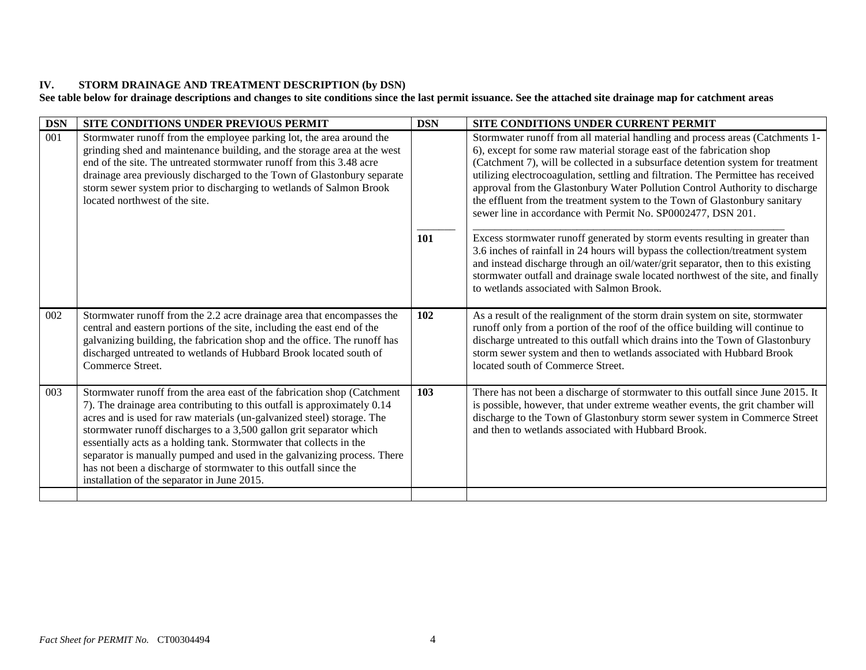# **IV. STORM DRAINAGE AND TREATMENT DESCRIPTION (by DSN)**

**See table below for drainage descriptions and changes to site conditions since the last permit issuance. See the attached site drainage map for catchment areas**

| <b>DSN</b> | SITE CONDITIONS UNDER PREVIOUS PERMIT                                                                                                                                                                                                                                                                                                                                                                                                                                                                                                                                     | <b>DSN</b> | SITE CONDITIONS UNDER CURRENT PERMIT                                                                                                                                                                                                                                                                                                                                                                                                                                                                                                                                                                                                                                                                                                                                                                                                                                                                                                                |
|------------|---------------------------------------------------------------------------------------------------------------------------------------------------------------------------------------------------------------------------------------------------------------------------------------------------------------------------------------------------------------------------------------------------------------------------------------------------------------------------------------------------------------------------------------------------------------------------|------------|-----------------------------------------------------------------------------------------------------------------------------------------------------------------------------------------------------------------------------------------------------------------------------------------------------------------------------------------------------------------------------------------------------------------------------------------------------------------------------------------------------------------------------------------------------------------------------------------------------------------------------------------------------------------------------------------------------------------------------------------------------------------------------------------------------------------------------------------------------------------------------------------------------------------------------------------------------|
| 001        | Stormwater runoff from the employee parking lot, the area around the<br>grinding shed and maintenance building, and the storage area at the west<br>end of the site. The untreated stormwater runoff from this 3.48 acre<br>drainage area previously discharged to the Town of Glastonbury separate<br>storm sewer system prior to discharging to wetlands of Salmon Brook<br>located northwest of the site.                                                                                                                                                              | 101        | Stormwater runoff from all material handling and process areas (Catchments 1-<br>6), except for some raw material storage east of the fabrication shop<br>(Catchment 7), will be collected in a subsurface detention system for treatment<br>utilizing electrocoagulation, settling and filtration. The Permittee has received<br>approval from the Glastonbury Water Pollution Control Authority to discharge<br>the effluent from the treatment system to the Town of Glastonbury sanitary<br>sewer line in accordance with Permit No. SP0002477, DSN 201.<br>Excess stormwater runoff generated by storm events resulting in greater than<br>3.6 inches of rainfall in 24 hours will bypass the collection/treatment system<br>and instead discharge through an oil/water/grit separator, then to this existing<br>stormwater outfall and drainage swale located northwest of the site, and finally<br>to wetlands associated with Salmon Brook. |
| 002        | Stormwater runoff from the 2.2 acre drainage area that encompasses the<br>central and eastern portions of the site, including the east end of the<br>galvanizing building, the fabrication shop and the office. The runoff has<br>discharged untreated to wetlands of Hubbard Brook located south of<br>Commerce Street.                                                                                                                                                                                                                                                  | 102        | As a result of the realignment of the storm drain system on site, stormwater<br>runoff only from a portion of the roof of the office building will continue to<br>discharge untreated to this outfall which drains into the Town of Glastonbury<br>storm sewer system and then to wetlands associated with Hubbard Brook<br>located south of Commerce Street.                                                                                                                                                                                                                                                                                                                                                                                                                                                                                                                                                                                       |
| 003        | Stormwater runoff from the area east of the fabrication shop (Catchment<br>7). The drainage area contributing to this outfall is approximately 0.14<br>acres and is used for raw materials (un-galvanized steel) storage. The<br>stormwater runoff discharges to a 3,500 gallon grit separator which<br>essentially acts as a holding tank. Stormwater that collects in the<br>separator is manually pumped and used in the galvanizing process. There<br>has not been a discharge of stormwater to this outfall since the<br>installation of the separator in June 2015. | 103        | There has not been a discharge of stormwater to this outfall since June 2015. It<br>is possible, however, that under extreme weather events, the grit chamber will<br>discharge to the Town of Glastonbury storm sewer system in Commerce Street<br>and then to wetlands associated with Hubbard Brook.                                                                                                                                                                                                                                                                                                                                                                                                                                                                                                                                                                                                                                             |
|            |                                                                                                                                                                                                                                                                                                                                                                                                                                                                                                                                                                           |            |                                                                                                                                                                                                                                                                                                                                                                                                                                                                                                                                                                                                                                                                                                                                                                                                                                                                                                                                                     |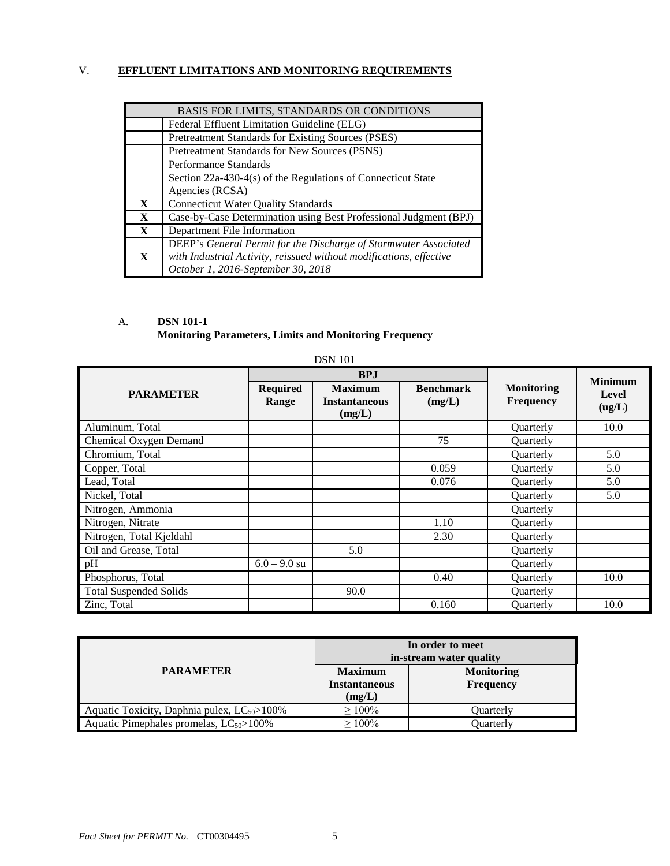# V. **EFFLUENT LIMITATIONS AND MONITORING REQUIREMENTS**

| BASIS FOR LIMITS, STANDARDS OR CONDITIONS |                                                                     |  |  |  |
|-------------------------------------------|---------------------------------------------------------------------|--|--|--|
|                                           | Federal Effluent Limitation Guideline (ELG)                         |  |  |  |
|                                           | Pretreatment Standards for Existing Sources (PSES)                  |  |  |  |
|                                           | Pretreatment Standards for New Sources (PSNS)                       |  |  |  |
|                                           | Performance Standards                                               |  |  |  |
|                                           | Section 22a-430-4(s) of the Regulations of Connecticut State        |  |  |  |
|                                           | Agencies (RCSA)                                                     |  |  |  |
| X                                         | <b>Connecticut Water Quality Standards</b>                          |  |  |  |
| X                                         | Case-by-Case Determination using Best Professional Judgment (BPJ)   |  |  |  |
| X                                         | Department File Information                                         |  |  |  |
|                                           | DEEP's General Permit for the Discharge of Stormwater Associated    |  |  |  |
| X                                         | with Industrial Activity, reissued without modifications, effective |  |  |  |
|                                           | October 1, 2016-September 30, 2018                                  |  |  |  |

# A. **DSN 101-1 Monitoring Parameters, Limits and Monitoring Frequency**

| <b>DSN</b> 101                |                          |                                                  |                            |                                |                        |
|-------------------------------|--------------------------|--------------------------------------------------|----------------------------|--------------------------------|------------------------|
|                               |                          | <b>BPJ</b>                                       |                            | <b>Minimum</b>                 |                        |
| <b>PARAMETER</b>              | <b>Required</b><br>Range | <b>Maximum</b><br><b>Instantaneous</b><br>(mg/L) | <b>Benchmark</b><br>(mg/L) | <b>Monitoring</b><br>Frequency | <b>Level</b><br>(ug/L) |
| Aluminum, Total               |                          |                                                  |                            | Quarterly                      | 10.0                   |
| Chemical Oxygen Demand        |                          |                                                  | 75                         | Quarterly                      |                        |
| Chromium, Total               |                          |                                                  |                            | Quarterly                      | 5.0                    |
| Copper, Total                 |                          |                                                  | 0.059                      | Quarterly                      | 5.0                    |
| Lead, Total                   |                          |                                                  | 0.076                      | Quarterly                      | 5.0                    |
| Nickel, Total                 |                          |                                                  |                            | Quarterly                      | 5.0                    |
| Nitrogen, Ammonia             |                          |                                                  |                            | Quarterly                      |                        |
| Nitrogen, Nitrate             |                          |                                                  | 1.10                       | Quarterly                      |                        |
| Nitrogen, Total Kjeldahl      |                          |                                                  | 2.30                       | Quarterly                      |                        |
| Oil and Grease, Total         |                          | 5.0                                              |                            | Quarterly                      |                        |
| pH                            | $6.0 - 9.0$ su           |                                                  |                            | Quarterly                      |                        |
| Phosphorus, Total             |                          |                                                  | 0.40                       | Quarterly                      | 10.0                   |
| <b>Total Suspended Solids</b> |                          | 90.0                                             |                            | Quarterly                      |                        |
| Zinc, Total                   |                          |                                                  | 0.160                      | Quarterly                      | 10.0                   |

|                                                   | In order to meet<br>in-stream water quality      |                                       |  |  |
|---------------------------------------------------|--------------------------------------------------|---------------------------------------|--|--|
| <b>PARAMETER</b>                                  | <b>Maximum</b><br><b>Instantaneous</b><br>(mg/L) | <b>Monitoring</b><br><b>Frequency</b> |  |  |
| Aquatic Toxicity, Daphnia pulex, $LC_{50}$ > 100% | $\geq 100\%$                                     | Quarterly                             |  |  |
| Aquatic Pimephales promelas, $LC_{50}$ > 100%     | $\geq 100\%$                                     | Ouarterly                             |  |  |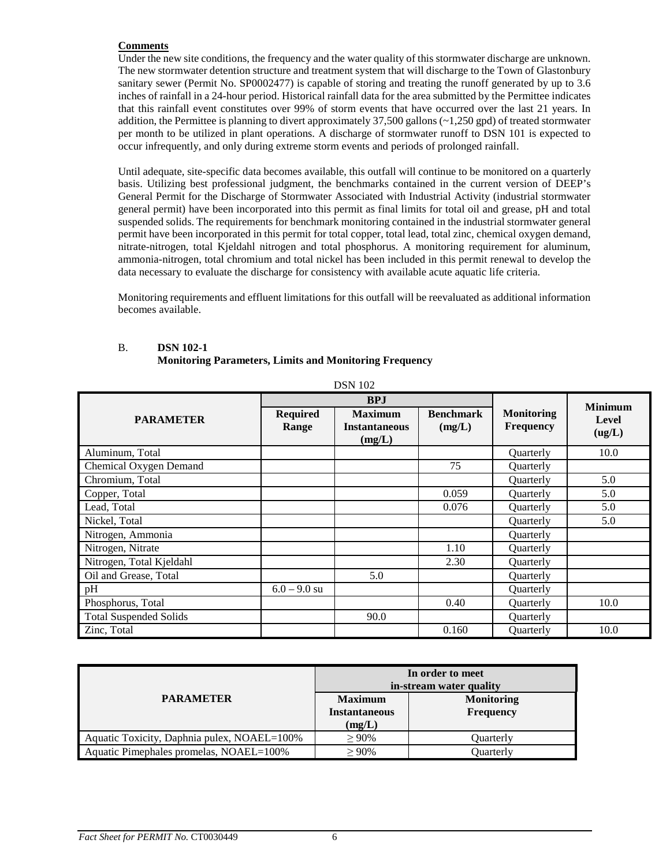## **Comments**

Under the new site conditions, the frequency and the water quality of this stormwater discharge are unknown. The new stormwater detention structure and treatment system that will discharge to the Town of Glastonbury sanitary sewer (Permit No. SP0002477) is capable of storing and treating the runoff generated by up to 3.6 inches of rainfall in a 24-hour period. Historical rainfall data for the area submitted by the Permittee indicates that this rainfall event constitutes over 99% of storm events that have occurred over the last 21 years. In addition, the Permittee is planning to divert approximately 37,500 gallons (~1,250 gpd) of treated stormwater per month to be utilized in plant operations. A discharge of stormwater runoff to DSN 101 is expected to occur infrequently, and only during extreme storm events and periods of prolonged rainfall.

Until adequate, site-specific data becomes available, this outfall will continue to be monitored on a quarterly basis. Utilizing best professional judgment, the benchmarks contained in the current version of DEEP's General Permit for the Discharge of Stormwater Associated with Industrial Activity (industrial stormwater general permit) have been incorporated into this permit as final limits for total oil and grease, pH and total suspended solids. The requirements for benchmark monitoring contained in the industrial stormwater general permit have been incorporated in this permit for total copper, total lead, total zinc, chemical oxygen demand, nitrate-nitrogen, total Kjeldahl nitrogen and total phosphorus. A monitoring requirement for aluminum, ammonia-nitrogen, total chromium and total nickel has been included in this permit renewal to develop the data necessary to evaluate the discharge for consistency with available acute aquatic life criteria.

Monitoring requirements and effluent limitations for this outfall will be reevaluated as additional information becomes available.

### B. **DSN 102-1 Monitoring Parameters, Limits and Monitoring Frequency**

| <b>DSN</b> 102                |                          |                                                  |                            |                                       |                 |
|-------------------------------|--------------------------|--------------------------------------------------|----------------------------|---------------------------------------|-----------------|
|                               |                          | <b>BPJ</b>                                       |                            | <b>Minimum</b>                        |                 |
| <b>PARAMETER</b>              | <b>Required</b><br>Range | <b>Maximum</b><br><b>Instantaneous</b><br>(mg/L) | <b>Benchmark</b><br>(mg/L) | <b>Monitoring</b><br><b>Frequency</b> | Level<br>(ug/L) |
| Aluminum, Total               |                          |                                                  |                            | <b>Ouarterly</b>                      | 10.0            |
| Chemical Oxygen Demand        |                          |                                                  | 75                         | Quarterly                             |                 |
| Chromium, Total               |                          |                                                  |                            | Quarterly                             | 5.0             |
| Copper, Total                 |                          |                                                  | 0.059                      | Quarterly                             | 5.0             |
| Lead, Total                   |                          |                                                  | 0.076                      | Quarterly                             | 5.0             |
| Nickel, Total                 |                          |                                                  |                            | Quarterly                             | 5.0             |
| Nitrogen, Ammonia             |                          |                                                  |                            | Quarterly                             |                 |
| Nitrogen, Nitrate             |                          |                                                  | 1.10                       | <b>Ouarterly</b>                      |                 |
| Nitrogen, Total Kjeldahl      |                          |                                                  | 2.30                       | Quarterly                             |                 |
| Oil and Grease, Total         |                          | 5.0                                              |                            | Quarterly                             |                 |
| pH                            | $6.0 - 9.0$ su           |                                                  |                            | Quarterly                             |                 |
| Phosphorus, Total             |                          |                                                  | 0.40                       | Quarterly                             | 10.0            |
| <b>Total Suspended Solids</b> |                          | 90.0                                             |                            | Quarterly                             |                 |
| Zinc, Total                   |                          |                                                  | 0.160                      | Quarterly                             | 10.0            |

|                                             | In order to meet<br>in-stream water quality      |                                       |  |
|---------------------------------------------|--------------------------------------------------|---------------------------------------|--|
| <b>PARAMETER</b>                            | <b>Maximum</b><br><b>Instantaneous</b><br>(mg/L) | <b>Monitoring</b><br><b>Frequency</b> |  |
| Aquatic Toxicity, Daphnia pulex, NOAEL=100% | $> 90\%$                                         | Ouarterly                             |  |
| Aquatic Pimephales promelas, NOAEL=100%     | $>90\%$                                          | Ouarterly                             |  |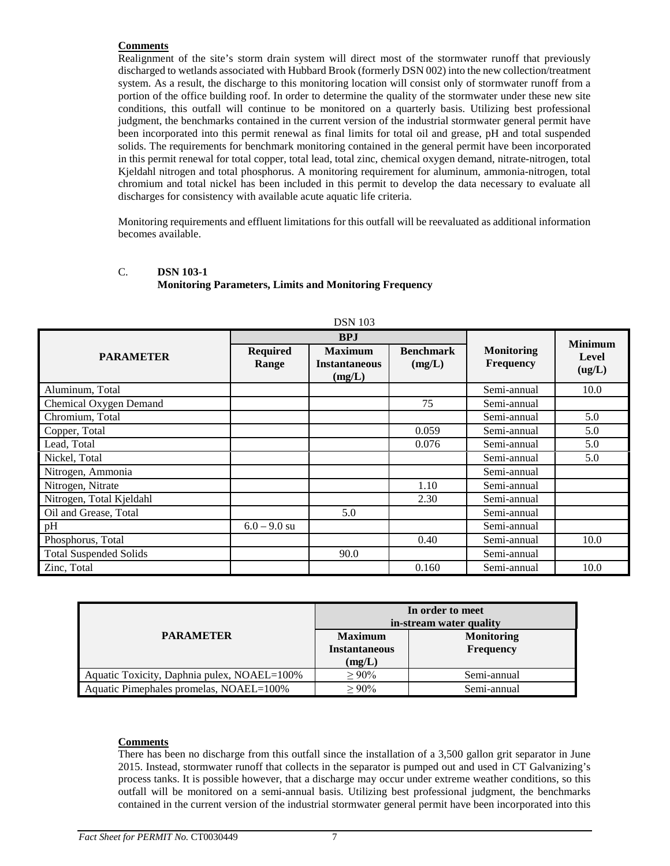## **Comments**

Realignment of the site's storm drain system will direct most of the stormwater runoff that previously discharged to wetlands associated with Hubbard Brook (formerly DSN 002) into the new collection/treatment system. As a result, the discharge to this monitoring location will consist only of stormwater runoff from a portion of the office building roof. In order to determine the quality of the stormwater under these new site conditions, this outfall will continue to be monitored on a quarterly basis. Utilizing best professional judgment, the benchmarks contained in the current version of the industrial stormwater general permit have been incorporated into this permit renewal as final limits for total oil and grease, pH and total suspended solids. The requirements for benchmark monitoring contained in the general permit have been incorporated in this permit renewal for total copper, total lead, total zinc, chemical oxygen demand, nitrate-nitrogen, total Kjeldahl nitrogen and total phosphorus. A monitoring requirement for aluminum, ammonia-nitrogen, total chromium and total nickel has been included in this permit to develop the data necessary to evaluate all discharges for consistency with available acute aquatic life criteria.

Monitoring requirements and effluent limitations for this outfall will be reevaluated as additional information becomes available.

# C. **DSN 103-1 Monitoring Parameters, Limits and Monitoring Frequency**

| <b>DOIT TUJ</b>               |                          |                                                  |                            |                                |                 |
|-------------------------------|--------------------------|--------------------------------------------------|----------------------------|--------------------------------|-----------------|
|                               |                          | <b>BPJ</b>                                       |                            | <b>Minimum</b>                 |                 |
| <b>PARAMETER</b>              | <b>Required</b><br>Range | <b>Maximum</b><br><b>Instantaneous</b><br>(mg/L) | <b>Benchmark</b><br>(mg/L) | <b>Monitoring</b><br>Frequency | Level<br>(ug/L) |
| Aluminum, Total               |                          |                                                  |                            | Semi-annual                    | 10.0            |
| Chemical Oxygen Demand        |                          |                                                  | 75                         | Semi-annual                    |                 |
| Chromium, Total               |                          |                                                  |                            | Semi-annual                    | 5.0             |
| Copper, Total                 |                          |                                                  | 0.059                      | Semi-annual                    | 5.0             |
| Lead, Total                   |                          |                                                  | 0.076                      | Semi-annual                    | 5.0             |
| Nickel, Total                 |                          |                                                  |                            | Semi-annual                    | 5.0             |
| Nitrogen, Ammonia             |                          |                                                  |                            | Semi-annual                    |                 |
| Nitrogen, Nitrate             |                          |                                                  | 1.10                       | Semi-annual                    |                 |
| Nitrogen, Total Kjeldahl      |                          |                                                  | 2.30                       | Semi-annual                    |                 |
| Oil and Grease, Total         |                          | 5.0                                              |                            | Semi-annual                    |                 |
| pH                            | $6.0 - 9.0$ su           |                                                  |                            | Semi-annual                    |                 |
| Phosphorus, Total             |                          |                                                  | 0.40                       | Semi-annual                    | 10.0            |
| <b>Total Suspended Solids</b> |                          | 90.0                                             |                            | Semi-annual                    |                 |
| Zinc, Total                   |                          |                                                  | 0.160                      | Semi-annual                    | 10.0            |

DSN 103

|                                             | In order to meet<br>in-stream water quality      |                                       |  |  |
|---------------------------------------------|--------------------------------------------------|---------------------------------------|--|--|
| <b>PARAMETER</b>                            | <b>Maximum</b><br><b>Instantaneous</b><br>(mg/L) | <b>Monitoring</b><br><b>Frequency</b> |  |  |
| Aquatic Toxicity, Daphnia pulex, NOAEL=100% | $> 90\%$                                         | Semi-annual                           |  |  |
| Aquatic Pimephales promelas, NOAEL=100%     | $\geq 90\%$                                      | Semi-annual                           |  |  |

#### **Comments**

There has been no discharge from this outfall since the installation of a 3,500 gallon grit separator in June 2015. Instead, stormwater runoff that collects in the separator is pumped out and used in CT Galvanizing's process tanks. It is possible however, that a discharge may occur under extreme weather conditions, so this outfall will be monitored on a semi-annual basis. Utilizing best professional judgment, the benchmarks contained in the current version of the industrial stormwater general permit have been incorporated into this